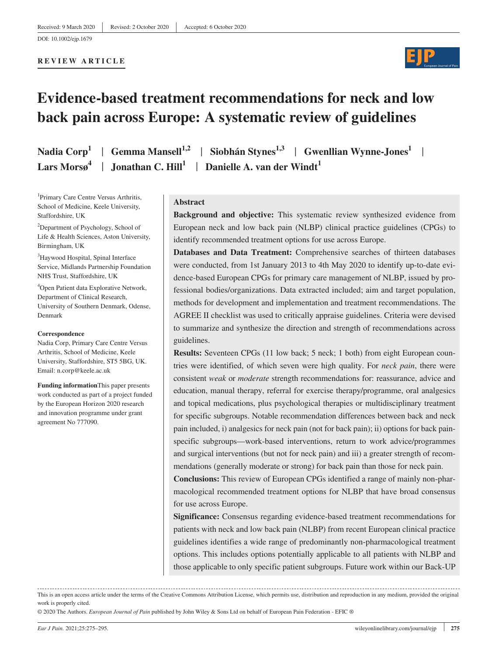#### **REVIEW ARTICLE**



# **Evidence-based treatment recommendations for neck and low back pain across Europe: A systematic review of guidelines**

Nadia Corp<sup>1</sup> | Gemma Mansell<sup>1,2</sup> | Siobhán Stynes<sup>1,3</sup> | Gwenllian Wynne-Jones<sup>1</sup> | **Lars Mors** $\mathfrak{g}^4$  | **Jonathan C. Hill**<sup>1</sup> | **Danielle A. van der Windt**<sup>1</sup>

1 Primary Care Centre Versus Arthritis, School of Medicine, Keele University, Staffordshire, UK

<sup>2</sup>Department of Psychology, School of Life & Health Sciences, Aston University, Birmingham, UK

3 Haywood Hospital, Spinal Interface Service, Midlands Partnership Foundation NHS Trust, Staffordshire, UK

4 Open Patient data Explorative Network, Department of Clinical Research, University of Southern Denmark, Odense, Denmark

#### **Correspondence**

Nadia Corp, Primary Care Centre Versus Arthritis, School of Medicine, Keele University, Staffordshire, ST5 5BG, UK. Email: [n.corp@keele.ac.uk](mailto:n.corp@keele.ac.uk)

**Funding information**This paper presents work conducted as part of a project funded by the European Horizon 2020 research and innovation programme under grant agreement No 777090.

#### **Abstract**

**Background and objective:** This systematic review synthesized evidence from European neck and low back pain (NLBP) clinical practice guidelines (CPGs) to identify recommended treatment options for use across Europe.

**Databases and Data Treatment:** Comprehensive searches of thirteen databases were conducted, from 1st January 2013 to 4th May 2020 to identify up-to-date evidence-based European CPGs for primary care management of NLBP, issued by professional bodies/organizations. Data extracted included; aim and target population, methods for development and implementation and treatment recommendations. The AGREE II checklist was used to critically appraise guidelines. Criteria were devised to summarize and synthesize the direction and strength of recommendations across guidelines.

**Results:** Seventeen CPGs (11 low back; 5 neck; 1 both) from eight European countries were identified, of which seven were high quality. For *neck pain*, there were consistent *weak* or *moderate* strength recommendations for: reassurance, advice and education, manual therapy, referral for exercise therapy/programme, oral analgesics and topical medications, plus psychological therapies or multidisciplinary treatment for specific subgroups. Notable recommendation differences between back and neck pain included, i) analgesics for neck pain (not for back pain); ii) options for back painspecific subgroups—work-based interventions, return to work advice/programmes and surgical interventions (but not for neck pain) and iii) a greater strength of recommendations (generally moderate or strong) for back pain than those for neck pain.

**Conclusions:** This review of European CPGs identified a range of mainly non-pharmacological recommended treatment options for NLBP that have broad consensus for use across Europe.

**Significance:** Consensus regarding evidence-based treatment recommendations for patients with neck and low back pain (NLBP) from recent European clinical practice guidelines identifies a wide range of predominantly non-pharmacological treatment options. This includes options potentially applicable to all patients with NLBP and those applicable to only specific patient subgroups. Future work within our Back-UP

This is an open access article under the terms of the [Creative Commons Attribution](http://creativecommons.org/licenses/by/4.0/) License, which permits use, distribution and reproduction in any medium, provided the original work is properly cited.

© 2020 The Authors. *European Journal of Pain* published by John Wiley & Sons Ltd on behalf of European Pain Federation - EFIC ®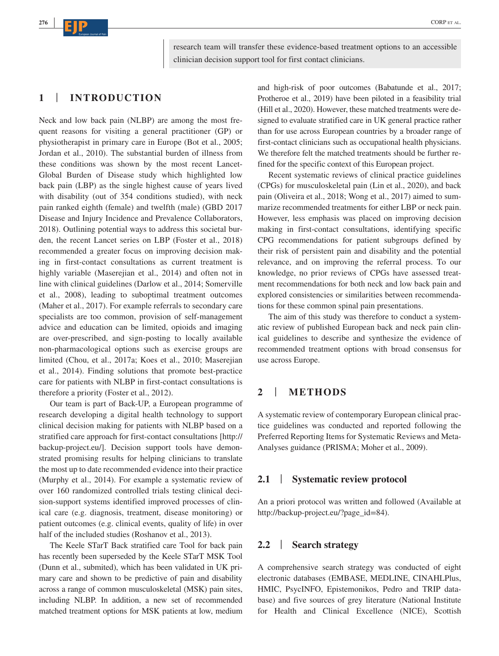**CORPETAL.** CORPETAL.

**<sup>276</sup> <sup>|</sup>**

research team will transfer these evidence-based treatment options to an accessible clinician decision support tool for first contact clinicians.

## **1** | **INTRODUCTION**

Neck and low back pain (NLBP) are among the most frequent reasons for visiting a general practitioner (GP) or physiotherapist in primary care in Europe (Bot et al., 2005; Jordan et al., 2010). The substantial burden of illness from these conditions was shown by the most recent Lancet-Global Burden of Disease study which highlighted low back pain (LBP) as the single highest cause of years lived with disability (out of 354 conditions studied), with neck pain ranked eighth (female) and twelfth (male) (GBD 2017 Disease and Injury Incidence and Prevalence Collaborators, 2018). Outlining potential ways to address this societal burden, the recent Lancet series on LBP (Foster et al., 2018) recommended a greater focus on improving decision making in first-contact consultations as current treatment is highly variable (Maserejian et al., 2014) and often not in line with clinical guidelines (Darlow et al., 2014; Somerville et al., 2008), leading to suboptimal treatment outcomes (Maher et al., 2017). For example referrals to secondary care specialists are too common, provision of self-management advice and education can be limited, opioids and imaging are over-prescribed, and sign-posting to locally available non-pharmacological options such as exercise groups are limited (Chou, et al., 2017a; Koes et al., 2010; Maserejian et al., 2014). Finding solutions that promote best-practice care for patients with NLBP in first-contact consultations is therefore a priority (Foster et al., 2012).

Our team is part of Back-UP, a European programme of research developing a digital health technology to support clinical decision making for patients with NLBP based on a stratified care approach for first-contact consultations [[http://](http://backup-project.eu/) [backup-project.eu/](http://backup-project.eu/)]. Decision support tools have demonstrated promising results for helping clinicians to translate the most up to date recommended evidence into their practice (Murphy et al., 2014). For example a systematic review of over 160 randomized controlled trials testing clinical decision-support systems identified improved processes of clinical care (e.g. diagnosis, treatment, disease monitoring) or patient outcomes (e.g. clinical events, quality of life) in over half of the included studies (Roshanov et al., 2013).

The Keele STarT Back stratified care Tool for back pain has recently been superseded by the Keele STarT MSK Tool (Dunn et al., submited), which has been validated in UK primary care and shown to be predictive of pain and disability across a range of common musculoskeletal (MSK) pain sites, including NLBP. In addition, a new set of recommended matched treatment options for MSK patients at low, medium and high-risk of poor outcomes (Babatunde et al., 2017; Protheroe et al., 2019) have been piloted in a feasibility trial (Hill et al., 2020). However, these matched treatments were designed to evaluate stratified care in UK general practice rather than for use across European countries by a broader range of first-contact clinicians such as occupational health physicians. We therefore felt the matched treatments should be further refined for the specific context of this European project.

Recent systematic reviews of clinical practice guidelines (CPGs) for musculoskeletal pain (Lin et al., 2020), and back pain (Oliveira et al., 2018; Wong et al., 2017) aimed to summarize recommended treatments for either LBP or neck pain. However, less emphasis was placed on improving decision making in first-contact consultations, identifying specific CPG recommendations for patient subgroups defined by their risk of persistent pain and disability and the potential relevance, and on improving the referral process. To our knowledge, no prior reviews of CPGs have assessed treatment recommendations for both neck and low back pain and explored consistencies or similarities between recommendations for these common spinal pain presentations.

The aim of this study was therefore to conduct a systematic review of published European back and neck pain clinical guidelines to describe and synthesize the evidence of recommended treatment options with broad consensus for use across Europe.

## **2** | **METHODS**

A systematic review of contemporary European clinical practice guidelines was conducted and reported following the Preferred Reporting Items for Systematic Reviews and Meta-Analyses guidance (PRISMA; Moher et al., 2009).

### **2.1** | **Systematic review protocol**

An a priori protocol was written and followed (Available at [http://backup-project.eu/?page\\_id=84](http://backup-project.eu/?page_id=84)).

#### **2.2** | **Search strategy**

A comprehensive search strategy was conducted of eight electronic databases (EMBASE, MEDLINE, CINAHLPlus, HMIC, PsycINFO, Epistemonikos, Pedro and TRIP database) and five sources of grey literature (National Institute for Health and Clinical Excellence (NICE), Scottish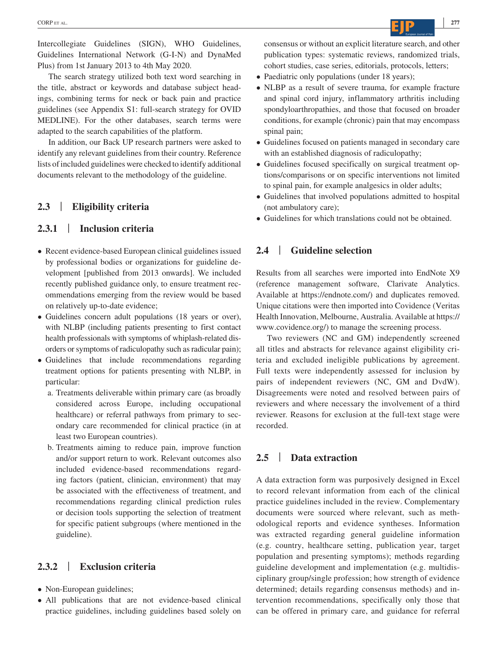Intercollegiate Guidelines (SIGN), WHO Guidelines, Guidelines International Network (G-I-N) and DynaMed Plus) from 1st January 2013 to 4th May 2020.

The search strategy utilized both text word searching in the title, abstract or keywords and database subject headings, combining terms for neck or back pain and practice guidelines (see Appendix S1: full-search strategy for OVID MEDLINE). For the other databases, search terms were adapted to the search capabilities of the platform.

In addition, our Back UP research partners were asked to identify any relevant guidelines from their country. Reference lists of included guidelines were checked to identify additional documents relevant to the methodology of the guideline.

## **2.3** | **Eligibility criteria**

### **2.3.1** | **Inclusion criteria**

- Recent evidence-based European clinical guidelines issued by professional bodies or organizations for guideline development [published from 2013 onwards]. We included recently published guidance only, to ensure treatment recommendations emerging from the review would be based on relatively up-to-date evidence;
- Guidelines concern adult populations (18 years or over), with NLBP (including patients presenting to first contact health professionals with symptoms of whiplash-related disorders or symptoms of radiculopathy such as radicular pain);
- Guidelines that include recommendations regarding treatment options for patients presenting with NLBP, in particular:
	- a. Treatments deliverable within primary care (as broadly considered across Europe, including occupational healthcare) or referral pathways from primary to secondary care recommended for clinical practice (in at least two European countries).
	- b. Treatments aiming to reduce pain, improve function and/or support return to work. Relevant outcomes also included evidence-based recommendations regarding factors (patient, clinician, environment) that may be associated with the effectiveness of treatment, and recommendations regarding clinical prediction rules or decision tools supporting the selection of treatment for specific patient subgroups (where mentioned in the guideline).

#### **2.3.2** | **Exclusion criteria**

- Non-European guidelines;
- All publications that are not evidence-based clinical practice guidelines, including guidelines based solely on

consensus or without an explicit literature search, and other publication types: systematic reviews, randomized trials, cohort studies, case series, editorials, protocols, letters;

- Paediatric only populations (under 18 years);
- NLBP as a result of severe trauma, for example fracture and spinal cord injury, inflammatory arthritis including spondyloarthropathies, and those that focused on broader conditions, for example (chronic) pain that may encompass spinal pain;
- Guidelines focused on patients managed in secondary care with an established diagnosis of radiculopathy;
- Guidelines focused specifically on surgical treatment options/comparisons or on specific interventions not limited to spinal pain, for example analgesics in older adults;
- Guidelines that involved populations admitted to hospital (not ambulatory care);
- Guidelines for which translations could not be obtained.

## **2.4** | **Guideline selection**

Results from all searches were imported into EndNote X9 (reference management software, Clarivate Analytics. Available at <https://endnote.com/>) and duplicates removed. Unique citations were then imported into Covidence (Veritas Health Innovation, Melbourne, Australia. Available at [https://](https://www.covidence.org/) [www.covidence.org/](https://www.covidence.org/)) to manage the screening process.

Two reviewers (NC and GM) independently screened all titles and abstracts for relevance against eligibility criteria and excluded ineligible publications by agreement. Full texts were independently assessed for inclusion by pairs of independent reviewers (NC, GM and DvdW). Disagreements were noted and resolved between pairs of reviewers and where necessary the involvement of a third reviewer. Reasons for exclusion at the full-text stage were recorded.

## **2.5** | **Data extraction**

A data extraction form was purposively designed in Excel to record relevant information from each of the clinical practice guidelines included in the review. Complementary documents were sourced where relevant, such as methodological reports and evidence syntheses. Information was extracted regarding general guideline information (e.g. country, healthcare setting, publication year, target population and presenting symptoms); methods regarding guideline development and implementation (e.g. multidisciplinary group/single profession; how strength of evidence determined; details regarding consensus methods) and intervention recommendations, specifically only those that can be offered in primary care, and guidance for referral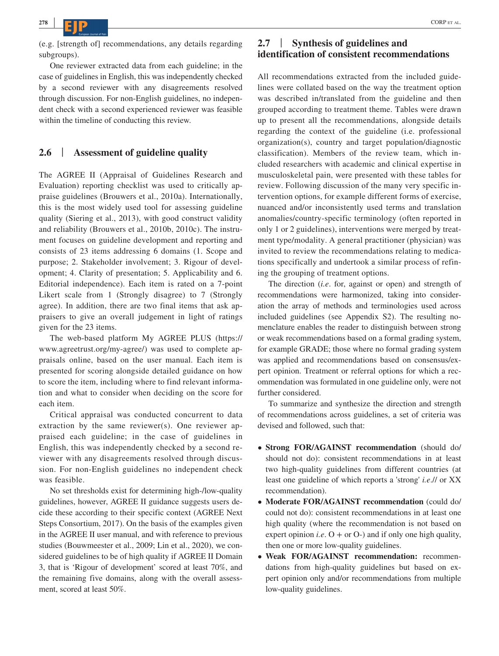(e.g. [strength of] recommendations, any details regarding subgroups).

One reviewer extracted data from each guideline; in the case of guidelines in English, this was independently checked by a second reviewer with any disagreements resolved through discussion. For non-English guidelines, no independent check with a second experienced reviewer was feasible within the timeline of conducting this review.

## **2.6** | **Assessment of guideline quality**

The AGREE II (Appraisal of Guidelines Research and Evaluation) reporting checklist was used to critically appraise guidelines (Brouwers et al., 2010a). Internationally, this is the most widely used tool for assessing guideline quality (Siering et al., 2013), with good construct validity and reliability (Brouwers et al., 2010b, 2010c). The instrument focuses on guideline development and reporting and consists of 23 items addressing 6 domains (1. Scope and purpose; 2. Stakeholder involvement; 3. Rigour of development; 4. Clarity of presentation; 5. Applicability and 6. Editorial independence). Each item is rated on a 7-point Likert scale from 1 (Strongly disagree) to 7 (Strongly agree). In addition, there are two final items that ask appraisers to give an overall judgement in light of ratings given for the 23 items.

The web-based platform My AGREE PLUS ([https://](https://www.agreetrust.org/my-agree/) [www.agreetrust.org/my-agree/](https://www.agreetrust.org/my-agree/)) was used to complete appraisals online, based on the user manual. Each item is presented for scoring alongside detailed guidance on how to score the item, including where to find relevant information and what to consider when deciding on the score for each item.

Critical appraisal was conducted concurrent to data extraction by the same reviewer(s). One reviewer appraised each guideline; in the case of guidelines in English, this was independently checked by a second reviewer with any disagreements resolved through discussion. For non-English guidelines no independent check was feasible.

No set thresholds exist for determining high-/low-quality guidelines, however, AGREE II guidance suggests users decide these according to their specific context (AGREE Next Steps Consortium, 2017). On the basis of the examples given in the AGREE II user manual, and with reference to previous studies (Bouwmeester et al., 2009; Lin et al., 2020), we considered guidelines to be of high quality if AGREE II Domain 3, that is 'Rigour of development' scored at least 70%, and the remaining five domains, along with the overall assessment, scored at least 50%.

## **2.7** | **Synthesis of guidelines and identification of consistent recommendations**

All recommendations extracted from the included guidelines were collated based on the way the treatment option was described in/translated from the guideline and then grouped according to treatment theme. Tables were drawn up to present all the recommendations, alongside details regarding the context of the guideline (i.e. professional organization(s), country and target population/diagnostic classification). Members of the review team, which included researchers with academic and clinical expertise in musculoskeletal pain, were presented with these tables for review. Following discussion of the many very specific intervention options, for example different forms of exercise, nuanced and/or inconsistently used terms and translation anomalies/country-specific terminology (often reported in only 1 or 2 guidelines), interventions were merged by treatment type/modality. A general practitioner (physician) was invited to review the recommendations relating to medications specifically and undertook a similar process of refining the grouping of treatment options.

The direction (*i.e*. for, against or open) and strength of recommendations were harmonized, taking into consideration the array of methods and terminologies used across included guidelines (see Appendix S2). The resulting nomenclature enables the reader to distinguish between strong or weak recommendations based on a formal grading system, for example GRADE; those where no formal grading system was applied and recommendations based on consensus/expert opinion. Treatment or referral options for which a recommendation was formulated in one guideline only, were not further considered.

To summarize and synthesize the direction and strength of recommendations across guidelines, a set of criteria was devised and followed, such that:

- **Strong FOR/AGAINST recommendation** (should do/ should not do): consistent recommendations in at least two high-quality guidelines from different countries (at least one guideline of which reports a 'strong' *i.e*.// or XX recommendation).
- **Moderate FOR/AGAINST recommendation** (could do/ could not do): consistent recommendations in at least one high quality (where the recommendation is not based on expert opinion *i.e.*  $O +$  or  $O$ -) and if only one high quality, then one or more low-quality guidelines.
- **Weak FOR/AGAINST recommendation:** recommendations from high-quality guidelines but based on expert opinion only and/or recommendations from multiple low-quality guidelines.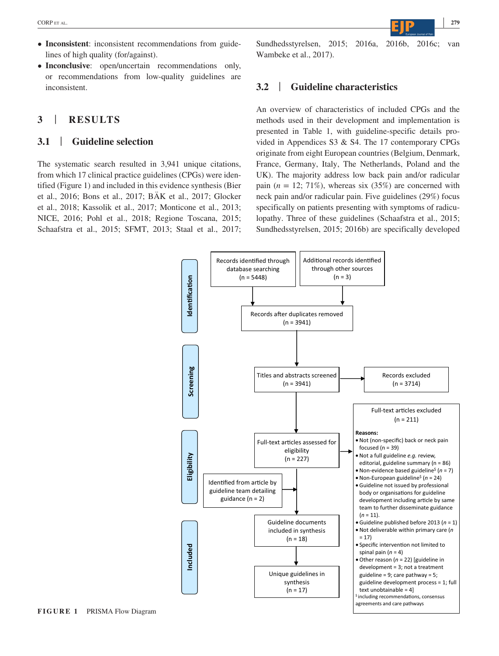- **Inconsistent**: inconsistent recommendations from guidelines of high quality (for/against).
- **Inconclusive**: open/uncertain recommendations only, or recommendations from low-quality guidelines are inconsistent.

## **3** | **RESULTS**

#### **3.1** | **Guideline selection**

The systematic search resulted in 3,941 unique citations, from which 17 clinical practice guidelines (CPGs) were identified (Figure 1) and included in this evidence synthesis (Bier et al., 2016; Bons et al., 2017; BÄK et al., 2017; Glocker et al., 2018; Kassolik et al., 2017; Monticone et al., 2013; NICE, 2016; Pohl et al., 2018; Regione Toscana, 2015; Schaafstra et al., 2015; SFMT, 2013; Staal et al., 2017; Sundhedsstyrelsen, 2015; 2016a, 2016b, 2016c; van Wambeke et al., 2017).

### **3.2** | **Guideline characteristics**

An overview of characteristics of included CPGs and the methods used in their development and implementation is presented in Table 1, with guideline-specific details provided in Appendices S3 & S4. The 17 contemporary CPGs originate from eight European countries (Belgium, Denmark, France, Germany, Italy, The Netherlands, Poland and the UK). The majority address low back pain and/or radicular pain  $(n = 12; 71\%)$ , whereas six  $(35\%)$  are concerned with neck pain and/or radicular pain. Five guidelines (29%) focus specifically on patients presenting with symptoms of radiculopathy. Three of these guidelines (Schaafstra et al., 2015; Sundhedsstyrelsen, 2015; 2016b) are specifically developed



**FIGURE 1** PRISMA Flow Diagram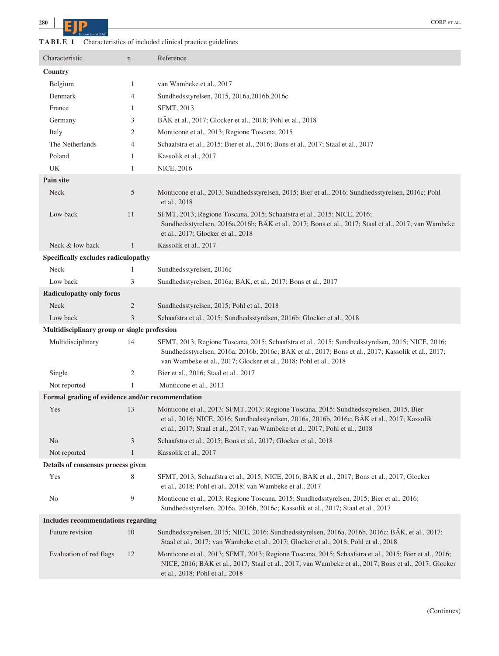| Characteristics of included clinical practice guidelines |
|----------------------------------------------------------|
|                                                          |

| Characteristic                                   | $\mathbf n$    | Reference                                                                                                                                                                                                                                                                    |
|--------------------------------------------------|----------------|------------------------------------------------------------------------------------------------------------------------------------------------------------------------------------------------------------------------------------------------------------------------------|
| Country                                          |                |                                                                                                                                                                                                                                                                              |
| Belgium                                          | $\mathbf{1}$   | van Wambeke et al., 2017                                                                                                                                                                                                                                                     |
| Denmark                                          | 4              | Sundhedsstyrelsen, 2015, 2016a, 2016b, 2016c                                                                                                                                                                                                                                 |
| France                                           | 1              | SFMT, 2013                                                                                                                                                                                                                                                                   |
| Germany                                          | 3              | BÄK et al., 2017; Glocker et al., 2018; Pohl et al., 2018                                                                                                                                                                                                                    |
| Italy                                            | 2              | Monticone et al., 2013; Regione Toscana, 2015                                                                                                                                                                                                                                |
| The Netherlands                                  | 4              | Schaafstra et al., 2015; Bier et al., 2016; Bons et al., 2017; Staal et al., 2017                                                                                                                                                                                            |
| Poland                                           | 1              | Kassolik et al., 2017                                                                                                                                                                                                                                                        |
| UK                                               | 1              | <b>NICE, 2016</b>                                                                                                                                                                                                                                                            |
| <b>Pain site</b>                                 |                |                                                                                                                                                                                                                                                                              |
| Neck                                             | 5              | Monticone et al., 2013; Sundhedsstyrelsen, 2015; Bier et al., 2016; Sundhedsstyrelsen, 2016c; Pohl<br>et al., 2018                                                                                                                                                           |
| Low back                                         | 11             | SFMT, 2013; Regione Toscana, 2015; Schaafstra et al., 2015; NICE, 2016;<br>Sundhedsstyrelsen, 2016a, 2016b; BÄK et al., 2017; Bons et al., 2017; Staal et al., 2017; van Wambeke<br>et al., 2017; Glocker et al., 2018                                                       |
| Neck & low back                                  | $\mathbf{1}$   | Kassolik et al., 2017                                                                                                                                                                                                                                                        |
| Specifically excludes radiculopathy              |                |                                                                                                                                                                                                                                                                              |
| Neck                                             | 1              | Sundhedsstyrelsen, 2016c                                                                                                                                                                                                                                                     |
| Low back                                         | 3              | Sundhedsstyrelsen, 2016a; BÄK, et al., 2017; Bons et al., 2017                                                                                                                                                                                                               |
| <b>Radiculopathy only focus</b>                  |                |                                                                                                                                                                                                                                                                              |
| Neck                                             | $\overline{c}$ | Sundhedsstyrelsen, 2015; Pohl et al., 2018                                                                                                                                                                                                                                   |
| Low back                                         | 3              | Schaafstra et al., 2015; Sundhedsstyrelsen, 2016b; Glocker et al., 2018                                                                                                                                                                                                      |
| Multidisciplinary group or single profession     |                |                                                                                                                                                                                                                                                                              |
| Multidisciplinary                                | 14             | SFMT, 2013; Regione Toscana, 2015; Schaafstra et al., 2015; Sundhedsstyrelsen, 2015; NICE, 2016;<br>Sundhedsstyrelsen, 2016a, 2016b, 2016c; BÄK et al., 2017; Bons et al., 2017; Kassolik et al., 2017;<br>van Wambeke et al., 2017; Glocker et al., 2018; Pohl et al., 2018 |
| Single                                           | 2              | Bier et al., 2016; Staal et al., 2017                                                                                                                                                                                                                                        |
| Not reported                                     | 1              | Monticone et al., 2013                                                                                                                                                                                                                                                       |
| Formal grading of evidence and/or recommendation |                |                                                                                                                                                                                                                                                                              |
| Yes                                              | 13             | Monticone et al., 2013; SFMT, 2013; Regione Toscana, 2015; Sundhedsstyrelsen, 2015, Bier<br>et al., 2016; NICE, 2016; Sundhedsstyrelsen, 2016a, 2016b, 2016c; BÄK et al., 2017; Kassolik<br>et al., 2017; Staal et al., 2017; van Wambeke et al., 2017; Pohl et al., 2018    |
| N <sub>o</sub>                                   | 3              | Schaafstra et al., 2015; Bons et al., 2017; Glocker et al., 2018                                                                                                                                                                                                             |
| Not reported                                     | $\mathbf{1}$   | Kassolik et al., 2017                                                                                                                                                                                                                                                        |
| Details of consensus process given               |                |                                                                                                                                                                                                                                                                              |
| Yes                                              | 8              | SFMT, 2013; Schaafstra et al., 2015; NICE, 2016; BÄK et al., 2017; Bons et al., 2017; Glocker<br>et al., 2018; Pohl et al., 2018; van Wambeke et al., 2017                                                                                                                   |
| No                                               | 9              | Monticone et al., 2013; Regione Toscana, 2015; Sundhedsstyrelsen, 2015; Bier et al., 2016;<br>Sundhedsstyrelsen, 2016a, 2016b, 2016c; Kassolik et al., 2017; Staal et al., 2017                                                                                              |
| <b>Includes recommendations regarding</b>        |                |                                                                                                                                                                                                                                                                              |
| Future revision                                  | 10             | Sundhedsstyrelsen, 2015; NICE, 2016; Sundhedsstyrelsen, 2016a, 2016b, 2016c; BÄK, et al., 2017;<br>Staal et al., 2017; van Wambeke et al., 2017; Glocker et al., 2018; Pohl et al., 2018                                                                                     |
| Evaluation of red flags                          | 12             | Monticone et al., 2013; SFMT, 2013; Regione Toscana, 2015; Schaafstra et al., 2015; Bier et al., 2016;<br>NICE, 2016; BÄK et al., 2017; Staal et al., 2017; van Wambeke et al., 2017; Bons et al., 2017; Glocker<br>et al., 2018; Pohl et al., 2018                          |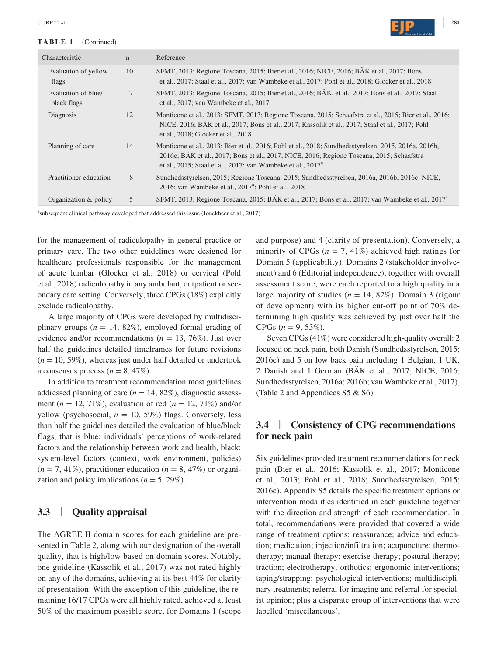#### **TABLE 1** (Continued)



| Characteristic                     | $\mathbf n$ | Reference                                                                                                                                                                                                                                                           |
|------------------------------------|-------------|---------------------------------------------------------------------------------------------------------------------------------------------------------------------------------------------------------------------------------------------------------------------|
| Evaluation of yellow<br>flags      | 10          | SFMT, 2013; Regione Toscana, 2015; Bier et al., 2016; NICE, 2016; BÄK et al., 2017; Bons<br>et al., 2017; Staal et al., 2017; van Wambeke et al., 2017; Pohl et al., 2018; Glocker et al., 2018                                                                     |
| Evaluation of blue/<br>black flags | 7           | SFMT, 2013; Regione Toscana, 2015; Bier et al., 2016; BAK, et al., 2017; Bons et al., 2017; Staal<br>et al., 2017; van Wambeke et al., 2017                                                                                                                         |
| Diagnosis                          | 12          | Monticone et al., 2013; SFMT, 2013; Regione Toscana, 2015; Schaafstra et al., 2015; Bier et al., 2016;<br>NICE, 2016; BAK et al., 2017; Bons et al., 2017; Kassolik et al., 2017; Staal et al., 2017; Pohl<br>et al., 2018; Glocker et al., 2018                    |
| Planning of care                   | 14          | Monticone et al., 2013; Bier et al., 2016; Pohl et al., 2018; Sundhedsstyrelsen, 2015, 2016a, 2016b,<br>2016c; BAK et al., 2017; Bons et al., 2017; NICE, 2016; Regione Toscana, 2015; Schaafstra<br>et al., 2015; Staal et al., 2017; van Wambeke et al., $2017^a$ |
| Practitioner education             | 8           | Sundhedsstyrelsen, 2015; Regione Toscana, 2015; Sundhedsstyrelsen, 2016a, 2016b, 2016c; NICE,<br>2016; van Wambeke et al., $2017^{\circ}$ ; Pohl et al., $2018$                                                                                                     |
| Organization & policy              | 5           | SFMT, 2013; Regione Toscana, 2015; BAK et al., 2017; Bons et al., 2017; van Wambeke et al., 2017 <sup>a</sup>                                                                                                                                                       |

a subsequent clinical pathway developed that addressed this issue (Jonckheer et al., 2017)

for the management of radiculopathy in general practice or primary care. The two other guidelines were designed for healthcare professionals responsible for the management of acute lumbar (Glocker et al., 2018) or cervical (Pohl et al., 2018) radiculopathy in any ambulant, outpatient or secondary care setting. Conversely, three CPGs (18%) explicitly exclude radiculopathy.

A large majority of CPGs were developed by multidisciplinary groups  $(n = 14, 82\%)$ , employed formal grading of evidence and/or recommendations (*n* = 13, 76%). Just over half the guidelines detailed timeframes for future revisions  $(n = 10, 59\%)$ , whereas just under half detailed or undertook a consensus process  $(n = 8, 47\%)$ .

In addition to treatment recommendation most guidelines addressed planning of care  $(n = 14, 82\%)$ , diagnostic assessment (*n* = 12, 71%), evaluation of red (*n* = 12, 71%) and/or yellow (psychosocial,  $n = 10, 59\%$ ) flags. Conversely, less than half the guidelines detailed the evaluation of blue/black flags, that is blue: individuals' perceptions of work-related factors and the relationship between work and health, black: system-level factors (context, work environment, policies)  $(n = 7, 41\%)$ , practitioner education  $(n = 8, 47\%)$  or organization and policy implications  $(n = 5, 29\%)$ .

#### **3.3** | **Quality appraisal**

The AGREE II domain scores for each guideline are presented in Table 2, along with our designation of the overall quality, that is high/low based on domain scores. Notably, one guideline (Kassolik et al., 2017) was not rated highly on any of the domains, achieving at its best 44% for clarity of presentation. With the exception of this guideline, the remaining 16/17 CPGs were all highly rated, achieved at least 50% of the maximum possible score, for Domains 1 (scope and purpose) and 4 (clarity of presentation). Conversely, a minority of CPGs  $(n = 7, 41\%)$  achieved high ratings for Domain 5 (applicability). Domains 2 (stakeholder involvement) and 6 (Editorial independence), together with overall assessment score, were each reported to a high quality in a large majority of studies  $(n = 14, 82\%)$ . Domain 3 (rigour of development) with its higher cut-off point of 70% determining high quality was achieved by just over half the CPGs  $(n = 9, 53\%)$ .

Seven CPGs (41%) were considered high-quality overall: 2 focused on neck pain, both Danish (Sundhedsstyrelsen, 2015; 2016c) and 5 on low back pain including 1 Belgian, 1 UK, 2 Danish and 1 German (BÄK et al., 2017; NICE, 2016; Sundhedsstyrelsen, 2016a; 2016b; van Wambeke et al., 2017), (Table 2 and Appendices S5 & S6).

## **3.4** | **Consistency of CPG recommendations for neck pain**

Six guidelines provided treatment recommendations for neck pain (Bier et al., 2016; Kassolik et al., 2017; Monticone et al., 2013; Pohl et al., 2018; Sundhedsstyrelsen, 2015; 2016c). Appendix S5 details the specific treatment options or intervention modalities identified in each guideline together with the direction and strength of each recommendation. In total, recommendations were provided that covered a wide range of treatment options: reassurance; advice and education; medication; injection/infiltration; acupuncture; thermotherapy; manual therapy; exercise therapy; postural therapy; traction; electrotherapy; orthotics; ergonomic interventions; taping/strapping; psychological interventions; multidisciplinary treatments; referral for imaging and referral for specialist opinion; plus a disparate group of interventions that were labelled 'miscellaneous'.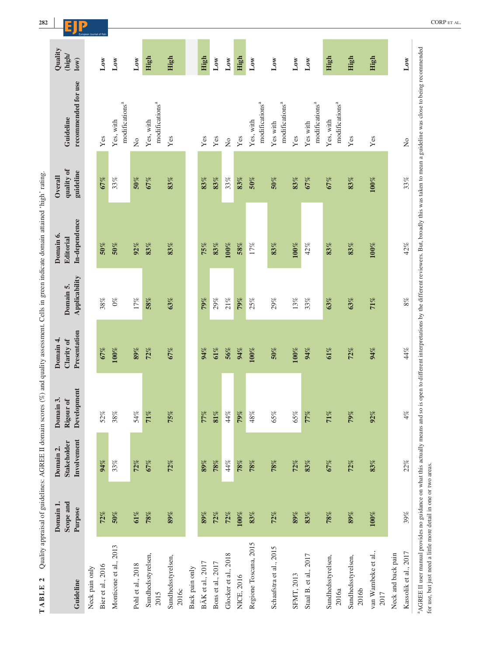|                                             | Domain 1        |                    |             |              |               | Domain 6.        | Overall    |                                                                        |                 |
|---------------------------------------------|-----------------|--------------------|-------------|--------------|---------------|------------------|------------|------------------------------------------------------------------------|-----------------|
|                                             |                 | Domain 2.          | Domain 3.   | Domain 4.    |               |                  |            |                                                                        | Quality         |
|                                             | Scope and       | <b>Stakeholder</b> | Rigour of   | Clarity of   | Domain 5.     | <b>Editorial</b> | quality of | Guideline                                                              | (high/          |
| Guideline                                   | Purpose         | Involvement        | Development | Presentation | Applicability | In-dependence    | guideline  | recommended for use                                                    | $\log$          |
| Neck pain only                              |                 |                    |             |              |               |                  |            |                                                                        |                 |
| Bier et al., 2016                           | 72%             | 94%                | 52%         | 67%          | $38\%$        | 50%              | 67%        | Yes                                                                    | $_{\rm Low}$    |
| Monticone et al., 2013                      | $\mathbf{50\%}$ | 33%                | $38\%$      | $100\%$      | $0\%$         | $50\%$           | 33%        | Yes, with                                                              | $_{\text{Low}}$ |
|                                             |                 |                    |             |              |               |                  |            | modifications <sup>a</sup>                                             |                 |
| Pohl et al., 2018                           | 61%             | 72%                | $54\%$      | 89%          | 17%           | 92%              | 50%        | $\overline{a}$                                                         | $_{\rm Low}$    |
| Sundhedsstyrelsen,<br>2015                  | $78\%$          | 67%                | 71%         | 72%          | 58%           | 83%              | 67%        | modifications <sup>a</sup><br>Yes, with                                | High            |
| Sundhedsstyrelsen,<br>2016c                 | $89\%$          | 72%                | 75%         | 67%          | 63%           | 83%              | 83%        | Yes                                                                    | High            |
| Back pain only                              |                 |                    |             |              |               |                  |            |                                                                        |                 |
| BÄK et al., 2017                            | 89%             | 89%                | 77%         | 94%          | 79%           | 75%              | 83%        | Yes                                                                    | High            |
| Bons et al., 2017                           | 72%             | 78%                | $81\%$      | 61%          | 29%           | $\mathbf{83}\%$  | 83%        | Yes                                                                    | $_{\rm Low}$    |
| Glocker et al., 2018                        | 72%             | $44\%$             | 44%         | 56%          | 21%           | $100\%$          | 33%        | $\rm \stackrel{\circ}{\rm \stackrel{\circ}{\rm \scriptscriptstyle M}}$ | $_{\rm Low}$    |
| NICE, 2016                                  | $100\%$         | 78%                | 79%         | 94%          | 79%           | 58%              | 83%        | Yes                                                                    | High            |
| Regione Toscana, 2015                       | 83%             | 78%                | 48%         | $100\%$      | 25%           | 17%              | 50%        | $\text{modifications}^a$<br>Yes, with                                  | $_{\rm Low}$    |
| Schaafstra et al., 2015                     | 72%             | 78%                | 65%         | 50%          | 29%           | 83%              | $50\%$     | modifications <sup>a</sup><br>Yes with                                 | $_{\text{Low}}$ |
| <b>SFMT, 2013</b>                           | 89%             | 72%                | 65%         | $100\%$      | 13%           | $100\%$          | 83%        | Yes                                                                    | $_{\text{Low}}$ |
| Staal B. et al., 2017                       | 83%             | 83%                | 77%         | 94%          | 33%           | 42%              | 67%        | modifications <sup>a</sup><br>Yes with                                 | $_{\text{Low}}$ |
| Sundhedsstyrelsen,<br>2016a                 | 78%             | 67%                | 71%         | 61%          | 63%           | 83%              | 67%        | modifications <sup>a</sup><br>Yes, with                                | High            |
| Sundhedsstyrelsen,<br>2016b                 | 89%             | 72%                | 79%         | 72%          | 63%           | 83%              | 83%        | $\mathbf{Yes}$                                                         | High            |
| van Wambeke et al.,<br>2017                 | $100\%$         | 83%                | 92%         | 94%          | 71%           | $100\%$          | $100\%$    | $\mathbf{Yes}$                                                         | High            |
| Kassolik et al., 2017<br>Neck and back pain | $39\%$          | 22%                | $4\%$       | 44%          | $8\%$         | 42%              | 33%        | $\mathsf{S}^{\mathsf{O}}$                                              | $_{\rm Low}$    |

Onality amousal of onidelines:  $\triangle$ GREE II domain scores  $(\%)$  and onality assessment. Cells in green indicate domain attained 'high' rating.

CORP ET AL.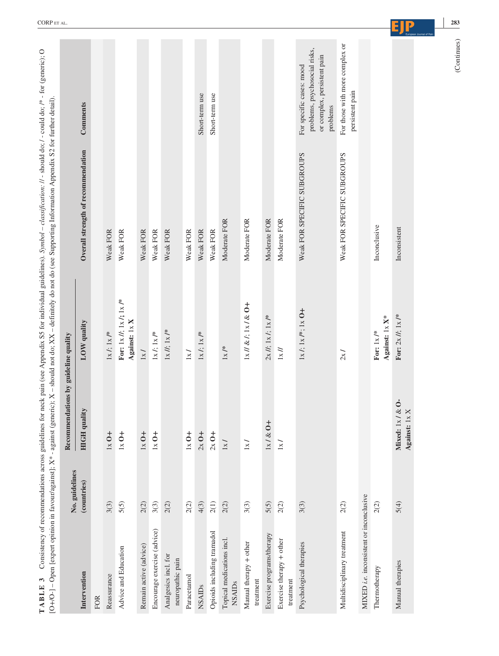|                                                | No. guidelines | Recommendations by guideline quality |                                                                    |                                    |                                                                                                      |
|------------------------------------------------|----------------|--------------------------------------|--------------------------------------------------------------------|------------------------------------|------------------------------------------------------------------------------------------------------|
| Intervention                                   | (countries)    | qualit<br><b>HIGH</b>                | LOW quality                                                        | Overall strength of recommendation | Comments                                                                                             |
| <b>FOR</b>                                     |                |                                      |                                                                    |                                    |                                                                                                      |
| Reassurance                                    | 3(3)           | $1x0+$                               | $1x /; 1x /$ *                                                     | Weak FOR                           |                                                                                                      |
| Advice and Education                           | 5(5)           | $1x$ O +                             | For: $1 \times l$ ; $1 \times l$ ; $1 \times l^*$<br>Against: 1x X | Weak FOR                           |                                                                                                      |
| Remain active (advice)                         | 2(2)           | $1x0+$                               | $1x/$                                                              | Weak FOR                           |                                                                                                      |
| Encourage exercise (advice)                    | 3(3)           | $1x0+$                               | $1\times l;$ $1\times l^*$                                         | Weak FOR                           |                                                                                                      |
| Analgesics incl. for<br>neuropathic pain       | 2(2)           |                                      | $1\times$ //; $1\times$ /*                                         | Weak FOR                           |                                                                                                      |
| Paracetamol                                    | 2(2)           | $1x0+$                               | $1\times$ /                                                        | Weak FOR                           |                                                                                                      |
| <b>NSAIDs</b>                                  | 4(3)           | $2x$ O +                             | $1\times$ /; $1\times$ /*                                          | Weak FOR                           | Short-term use                                                                                       |
| Opioids including tramadol                     | 2(1)           | $2x$ O +                             |                                                                    | Weak FOR                           | Short-term use                                                                                       |
| Topical medications incl.<br><b>NSAIDs</b>     | 2(2)           | $1\times$ /                          | $1\times$ /*                                                       | Moderate FOR                       |                                                                                                      |
| Manual therapy + other<br>treatment            | 3(3)           | $1\times$ /                          | $1x$ // & $f$ ; $1x$ / & $0+$                                      | Moderate FOR                       |                                                                                                      |
| Exercise programs/therapy                      | 5(5)           | $1x/\&0+$                            | $2x/l$ ; $1x/l$ ; $1x/k$                                           | Moderate FOR                       |                                                                                                      |
| Exercise therapy + other<br>treatment          | 2(2)           | $1\times$ /                          | $1x$ //                                                            | Moderate FOR                       |                                                                                                      |
| Psychological therapies                        | 3(3)           |                                      | $1x$ /; $1x$ /*; $1x$ O+                                           | Weak FOR SPECIFIC SUBGROUPS        | problems, psychosocial risks,<br>or complex, persistent pain<br>For specific cases: mood<br>problems |
| Multidisciplinary treatment                    | 2(2)           |                                      | 2x/                                                                | Weak FOR SPECIFIC SUBGROUPS        | For those with more complex or<br>persistent pain                                                    |
| MIXED <i>i.e.</i> inconsistent or inconclusive |                |                                      |                                                                    |                                    |                                                                                                      |
| Thermotherapy                                  | 2(2)           |                                      | Against: 1x X*<br>For: $1\times$ /*                                | Inconclusive                       |                                                                                                      |
| Manual therapies                               | 5(4)           | Mixed: $1x / & 0$<br>Against: $1x X$ | For: $2 \times H$ ; $1 \times I^*$                                 | Inconsistent                       |                                                                                                      |
|                                                |                |                                      |                                                                    |                                    | (Continues)                                                                                          |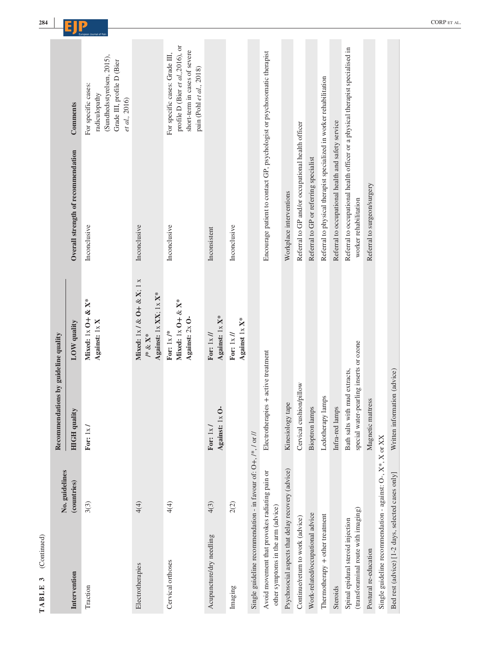| (Continued)<br>$\omega$<br>TABLE                                                     |                |                                                                          |                                                                                                 |                                                                                                         |                                                                                                                                  |
|--------------------------------------------------------------------------------------|----------------|--------------------------------------------------------------------------|-------------------------------------------------------------------------------------------------|---------------------------------------------------------------------------------------------------------|----------------------------------------------------------------------------------------------------------------------------------|
|                                                                                      | No. guidelines | Recommendations by guideline quality                                     |                                                                                                 |                                                                                                         |                                                                                                                                  |
| Intervention                                                                         | (countries)    | <b>HIGH qualit</b>                                                       | LOW quality                                                                                     | Overall strength of recommendation                                                                      | Comments                                                                                                                         |
| Traction                                                                             | 3(3)           | For: $1x/$                                                               | Mixed: $1x$ O + & $X^*$<br>Against: 1x X                                                        | Inconclusive                                                                                            | (Sundhedsstyrelsen, 2015),<br>Grade III, profile D (Bier<br>For specific cases:<br>radiculopathy<br>et al., 2016)                |
| Electrotherapies                                                                     | 4(4)           |                                                                          | Mixed: $1x / \& O + \& X$ ; $1 x$<br>Against: 1x XX; 1x X*<br>$\mathcal{V}^*\ \&\ \mathbf{X}^*$ | Inconclusive                                                                                            |                                                                                                                                  |
| Cervical orthoses                                                                    | 4(4)           |                                                                          | Mixed: $1x$ O + & $X^*$<br>Against: $2x$ O-<br>For: $1 \times l^*$                              | Inconclusive                                                                                            | profile D (Bier et al., 2016), or<br>short-term in cases of severe<br>For specific cases: Grade III,<br>pain (Pohl et al., 2018) |
| Acupuncture/dry needling                                                             | 4(3)           | Against: $1 \times 0$ -<br>For: $1x/$                                    | Against: 1x X*<br>For: $1 \times \textit{II}$                                                   | Inconsistent                                                                                            |                                                                                                                                  |
| Imaging                                                                              | 2(2)           |                                                                          | Against $1 \times X^*$<br>For: $1 \times II$                                                    | Inconclusive                                                                                            |                                                                                                                                  |
| Single guideline recommendation - in favour of: O+, /*, / or //                      |                |                                                                          |                                                                                                 |                                                                                                         |                                                                                                                                  |
| Avoid movement that provokes radiating pain or<br>other symptoms in the arm (advice) |                | Electrotherapies + active treatment                                      |                                                                                                 | Encourage patient to contact GP, psychologist or psychosomatic therapist                                |                                                                                                                                  |
| Psychosocial aspects that delay recovery (advice)                                    |                | Kinesiology tape                                                         |                                                                                                 | Workplace interventions                                                                                 |                                                                                                                                  |
| Continue/return to work (advice)                                                     |                | Cervical cushion/pillow                                                  |                                                                                                 | Referral to GP and/or occupational health officer                                                       |                                                                                                                                  |
| Work-related/occupational advice                                                     |                | <b>Bioptron</b> lamps                                                    |                                                                                                 | Referral to GP or referring specialist                                                                  |                                                                                                                                  |
| Thermotherapy + other treatment                                                      |                | lamps<br>Ledotherapy 1                                                   |                                                                                                 | Referral to physical therapist specialized in worker rehabilitation                                     |                                                                                                                                  |
| Steroids                                                                             |                | Infra-red lamps                                                          |                                                                                                 | Referral to occupational health and safety service                                                      |                                                                                                                                  |
| (transforaminal route with imaging)<br>Spinal epidural steroid injection             |                | special water-pearling inserts or ozone<br>Bath salts with mud extracts, |                                                                                                 | Referral to occupational health officer or a physical therapist specialised in<br>worker rehabilitation |                                                                                                                                  |
| Postural re-education                                                                |                | Magnetic mattress                                                        |                                                                                                 | Referral to surgeon/surgery                                                                             |                                                                                                                                  |
| Single guideline recommendation - against: $O$ -, $X^*$ , $X$ or $XX$                |                |                                                                          |                                                                                                 |                                                                                                         |                                                                                                                                  |
| Bed rest (advice) [1-2 days, selected cases only]                                    |                | Written information (advice)                                             |                                                                                                 |                                                                                                         |                                                                                                                                  |

**CORPETAL** CORPETAL CORPETION CORPETION CORPETION CORPETION CORPETION CORPETION CORPETION CORPETION CORPETION CORPETION CORPETION CORPETION CO. **CORPETION CO.** CORP ET AL.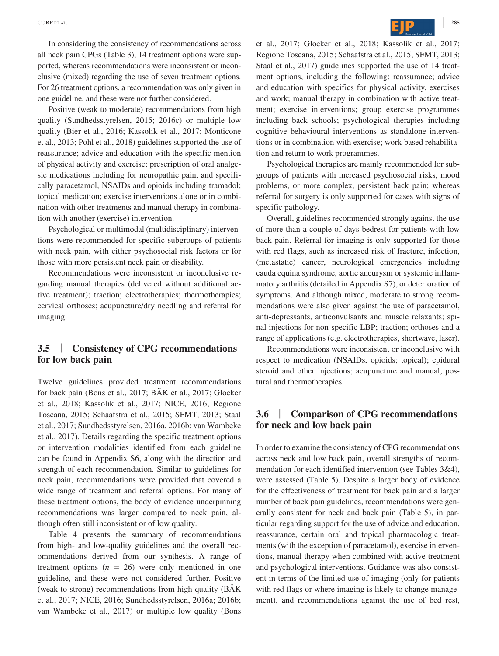In considering the consistency of recommendations across all neck pain CPGs (Table 3), 14 treatment options were supported, whereas recommendations were inconsistent or inconclusive (mixed) regarding the use of seven treatment options. For 26 treatment options, a recommendation was only given in one guideline, and these were not further considered.

Positive (weak to moderate) recommendations from high quality (Sundhedsstyrelsen, 2015; 2016c) or multiple low quality (Bier et al., 2016; Kassolik et al., 2017; Monticone et al., 2013; Pohl et al., 2018) guidelines supported the use of reassurance; advice and education with the specific mention of physical activity and exercise; prescription of oral analgesic medications including for neuropathic pain, and specifically paracetamol, NSAIDs and opioids including tramadol; topical medication; exercise interventions alone or in combination with other treatments and manual therapy in combination with another (exercise) intervention.

Psychological or multimodal (multidisciplinary) interventions were recommended for specific subgroups of patients with neck pain, with either psychosocial risk factors or for those with more persistent neck pain or disability.

Recommendations were inconsistent or inconclusive regarding manual therapies (delivered without additional active treatment); traction; electrotherapies; thermotherapies; cervical orthoses; acupuncture/dry needling and referral for imaging.

## **3.5** | **Consistency of CPG recommendations for low back pain**

Twelve guidelines provided treatment recommendations for back pain (Bons et al., 2017; BÄK et al., 2017; Glocker et al., 2018; Kassolik et al., 2017; NICE, 2016; Regione Toscana, 2015; Schaafstra et al., 2015; SFMT, 2013; Staal et al., 2017; Sundhedsstyrelsen, 2016a, 2016b; van Wambeke et al., 2017). Details regarding the specific treatment options or intervention modalities identified from each guideline can be found in Appendix S6, along with the direction and strength of each recommendation. Similar to guidelines for neck pain, recommendations were provided that covered a wide range of treatment and referral options. For many of these treatment options, the body of evidence underpinning recommendations was larger compared to neck pain, although often still inconsistent or of low quality.

Table 4 presents the summary of recommendations from high- and low-quality guidelines and the overall recommendations derived from our synthesis. A range of treatment options  $(n = 26)$  were only mentioned in one guideline, and these were not considered further. Positive (weak to strong) recommendations from high quality (BÄK et al., 2017; NICE, 2016; Sundhedsstyrelsen, 2016a; 2016b; van Wambeke et al., 2017) or multiple low quality (Bons

et al., 2017; Glocker et al., 2018; Kassolik et al., 2017; Regione Toscana, 2015; Schaafstra et al., 2015; SFMT, 2013; Staal et al., 2017) guidelines supported the use of 14 treatment options, including the following: reassurance; advice and education with specifics for physical activity, exercises and work; manual therapy in combination with active treatment; exercise interventions; group exercise programmes including back schools; psychological therapies including cognitive behavioural interventions as standalone interventions or in combination with exercise; work-based rehabilitation and return to work programmes.

Psychological therapies are mainly recommended for subgroups of patients with increased psychosocial risks, mood problems, or more complex, persistent back pain; whereas referral for surgery is only supported for cases with signs of specific pathology.

Overall, guidelines recommended strongly against the use of more than a couple of days bedrest for patients with low back pain. Referral for imaging is only supported for those with red flags, such as increased risk of fracture, infection, (metastatic) cancer, neurological emergencies including cauda equina syndrome, aortic aneurysm or systemic inflammatory arthritis (detailed in Appendix S7), or deterioration of symptoms. And although mixed, moderate to strong recommendations were also given against the use of paracetamol, anti-depressants, anticonvulsants and muscle relaxants; spinal injections for non-specific LBP; traction; orthoses and a range of applications (e.g. electrotherapies, shortwave, laser).

Recommendations were inconsistent or inconclusive with respect to medication (NSAIDs, opioids; topical); epidural steroid and other injections; acupuncture and manual, postural and thermotherapies.

## **3.6** | **Comparison of CPG recommendations for neck and low back pain**

In order to examine the consistency of CPG recommendations across neck and low back pain, overall strengths of recommendation for each identified intervention (see Tables 3&4), were assessed (Table 5). Despite a larger body of evidence for the effectiveness of treatment for back pain and a larger number of back pain guidelines, recommendations were generally consistent for neck and back pain (Table 5), in particular regarding support for the use of advice and education, reassurance, certain oral and topical pharmacologic treatments (with the exception of paracetamol), exercise interventions, manual therapy when combined with active treatment and psychological interventions. Guidance was also consistent in terms of the limited use of imaging (only for patients with red flags or where imaging is likely to change management), and recommendations against the use of bed rest,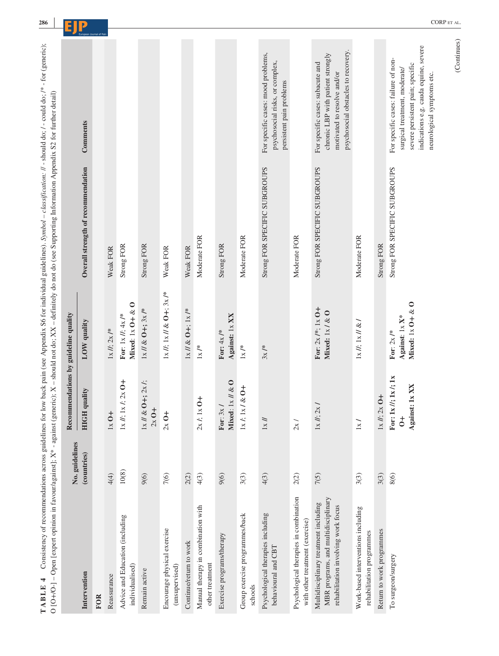|                                                                                                                     |                               |                                                                        |                                                                   | O [O+/O-] - Open [expert opinion in favour/against]; X* - against (generic); X - should not do; XX - definitely do not do (see Supporting Information Appendix S2 for further detail) |                                                                                                                                                                                 |
|---------------------------------------------------------------------------------------------------------------------|-------------------------------|------------------------------------------------------------------------|-------------------------------------------------------------------|---------------------------------------------------------------------------------------------------------------------------------------------------------------------------------------|---------------------------------------------------------------------------------------------------------------------------------------------------------------------------------|
|                                                                                                                     |                               | Recommendations by guideline quality                                   |                                                                   |                                                                                                                                                                                       |                                                                                                                                                                                 |
| Intervention                                                                                                        | No. guidelines<br>(countries) | quality<br><b>HIGH</b>                                                 | LOW quality                                                       | Overall strength of recommendation                                                                                                                                                    | Comments                                                                                                                                                                        |
| <b>FOR</b>                                                                                                          |                               |                                                                        |                                                                   |                                                                                                                                                                                       |                                                                                                                                                                                 |
| Reassurance                                                                                                         | 4(4)                          | $1x$ O+                                                                | $1 \times I\!I$ ; 2x /*                                           | Weak FOR                                                                                                                                                                              |                                                                                                                                                                                 |
| Advice and Education (including<br>individualised)                                                                  | $10(8)$                       | $1 \times$ <i>I</i> : $1 \times$ <i>I</i> : $2 \times$ 0+              | Mixed: $1x$ O + $& 0$<br>For: $1 \times$ <i>I</i> ; $4 \times$ /* | <b>Strong FOR</b>                                                                                                                                                                     |                                                                                                                                                                                 |
| Remain active                                                                                                       | 9(6)                          | $1x \# \& O+; 2x \, h;$<br>$2x O+$                                     | $1x$ // & O+; $3x$ /*                                             | <b>Strong FOR</b>                                                                                                                                                                     |                                                                                                                                                                                 |
| Encourage physical exercise<br>(unsupervised)                                                                       | 7(6)                          | $2x$ O+                                                                | $1 \times H$ ; $1 \times H \& O +$ ; $3 \times I^*$               | Weak FOR                                                                                                                                                                              |                                                                                                                                                                                 |
| Continue/return to work                                                                                             | 2(2)                          |                                                                        | $1x \,    \& O +$ ; $1x \, /^*$                                   | Weak FOR                                                                                                                                                                              |                                                                                                                                                                                 |
| Manual therapy in combination with<br>other treatment                                                               | 4(3)                          | $*0*$<br>2x / 1                                                        | $1x$ /*                                                           | Moderate FOR                                                                                                                                                                          |                                                                                                                                                                                 |
| Exercise programs/therapy                                                                                           | 9(6)                          | Mixed: $1 \times \textit{//} \& O$<br>For: $3x/$                       | Against: 1x XX<br>For: $4x$ /*                                    | Strong FOR                                                                                                                                                                            |                                                                                                                                                                                 |
| Group exercise programmes/back<br>schools                                                                           | 3(3)                          | $x / 80 +$<br>$1x/2$ , $1x$                                            | $1\times$ /*                                                      | Moderate FOR                                                                                                                                                                          |                                                                                                                                                                                 |
| Psychological therapies including<br>behavioural and CBT                                                            | 4(3)                          | $1\times$ //                                                           | $3x$ /*                                                           | Strong FOR SPECIFIC SUBGROUPS                                                                                                                                                         | For specific cases: mood problems,<br>psychosocial risks, or complex,<br>persistent pain problems                                                                               |
| Psychological therapies in combination<br>with other treatment (exercise)                                           | 2(2)                          | 2x/                                                                    |                                                                   | Moderate FOR                                                                                                                                                                          |                                                                                                                                                                                 |
| MBR programs, and multidisciplinary<br>Multidisciplinary treatment including<br>rehabilitation involving work focus | 7(5)                          | $1 \times H$ ; $2 \times I$                                            | For: $2x$ /*; $1x$ O+<br>Mixed: $1x / \& O$                       | Strong FOR SPECIFIC SUBGROUPS                                                                                                                                                         | psychosocial obstacles to recovery.<br>chronic LBP with patient strongly<br>For specific cases: subacute and<br>motivated to resolve and/or                                     |
| Work-based interventions including<br>rehabilitation programmes                                                     | 3(3)                          | 1x/                                                                    | $1\times$ //; $1\times$ // &                                      | Moderate FOR                                                                                                                                                                          |                                                                                                                                                                                 |
| Return to work programmes                                                                                           | 3(3)                          | $1 \times$ $1 \times$ $2 \times$ 0+                                    |                                                                   | <b>Strong FOR</b>                                                                                                                                                                     |                                                                                                                                                                                 |
| To surgeon/surgery                                                                                                  | 8(6)                          | $x$ //; $1x$ /; $1x$<br>st: 1x XX<br>For: 1<br>Again<br>$\ddot{\circ}$ | Mixed: $1 \times 0 + \& 0$<br>Against: 1x X*<br>For: $2x$ /*      | Strong FOR SPECIFIC SUBGROUPS                                                                                                                                                         | indications e.g. cauda equine, severe<br>For specific cases: failure of non-<br>severe persistent pain; specific<br>surgical treatment, moderate/<br>neurological symptoms etc. |

**| CORPETAL** CORPETAL CORPETION CORPETION CORPETION CORPETION CORPETION CORPETION CORPETION CORPETION CORPETION CORPETION CORPETION CORPETION CO. **CORPETION CO.** 

**286**

(Continues) (Continues)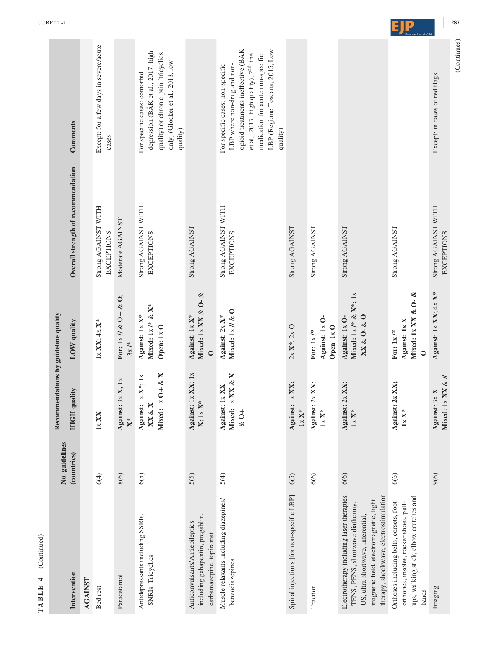| (Continued)<br>TABLE 4                                                                                                                                                                                |                |                                                                               |                                                                                     |                                          |                                                                                                                                                                                                                                                |
|-------------------------------------------------------------------------------------------------------------------------------------------------------------------------------------------------------|----------------|-------------------------------------------------------------------------------|-------------------------------------------------------------------------------------|------------------------------------------|------------------------------------------------------------------------------------------------------------------------------------------------------------------------------------------------------------------------------------------------|
|                                                                                                                                                                                                       | No. guidelines | Recommendations by guideline quality                                          |                                                                                     |                                          |                                                                                                                                                                                                                                                |
| Intervention                                                                                                                                                                                          | (countries)    | <b>HIGH</b> quality                                                           | LOW quality                                                                         | Overall strength of recommendation       | Comments                                                                                                                                                                                                                                       |
| <b>AGAINST</b>                                                                                                                                                                                        |                |                                                                               |                                                                                     |                                          |                                                                                                                                                                                                                                                |
| Bed rest                                                                                                                                                                                              | 6(4)           | ×<br>1x X                                                                     | $1 \times$ XX; $4 \times$ X*                                                        | Strong AGAINST WITH<br><b>EXCEPTIONS</b> | Except: for a few days in severe/acute<br>cases                                                                                                                                                                                                |
| Paracetamol                                                                                                                                                                                           | 8(6)           | Against: 3x X, 1x<br>$X^*$                                                    | For: $1 \times \frac{1}{2}$ O + & O;<br>$3x$ /*                                     | Moderate AGAINST                         |                                                                                                                                                                                                                                                |
| Antidepressants including SSRIs,<br>SNRIs, Tricyclics                                                                                                                                                 | 6(5)           | Mixed: $1 \times 0 + \& X$<br>Against: $1 \times X^*$ ; $1 \times$<br>XX & XX | Mixed: $1 \times$ /* & X*<br>Against: 1x X*<br>Open: 1x O                           | Strong AGAINST WITH<br><b>EXCEPTIONS</b> | depression (BÄK et al., 2017, high<br>quality) or chronic pain [tricyclics<br>only] (Glocker et al., 2018, low<br>For specific cases: comorbid<br>quality)                                                                                     |
| including gabapentin, pregablin,<br>Anticonvulsants/Antiepileptics<br>carbamazepine, topiramat                                                                                                        | 5(5)           | Against: $1 \times XX$ ; $1 \times$<br>$1\times X^*$<br>$\mathbf{X}$ :        | Mixed: $1 \times$ XX & O- &<br>Against: 1x X*<br>$\mathsf{C}$                       | Strong AGAINST                           |                                                                                                                                                                                                                                                |
| Muscle relaxants including diazepines/<br>benzodiazepines                                                                                                                                             | 5(4)           | Mixed: 1x XX & X<br>Against: 1x XX<br>$\&0+$                                  | Mixed: $1x \, \frac{\pi}{6}$ O<br>Against: 2x X*                                    | Strong AGAINST WITH<br><b>EXCEPTIONS</b> | opioid treatments ineffective (BÄK<br>LBP (Regione Toscana, 2015, Low<br>et al., 2017, high quality); 2 <sup>nd</sup> line<br>medication for acute non-specific<br>For specific cases: non-specific<br>LBP where non-drug and non-<br>quality) |
| Spinal injections [for non-specific LBP]                                                                                                                                                              | 6(5)           | Against: 1x XX;<br>$1\times X^*$                                              | $2x X^*$ , $2x 0$                                                                   | Strong AGAINST                           |                                                                                                                                                                                                                                                |
| Traction                                                                                                                                                                                              | 6(6)           | Against: 2x XX;<br>$1\times X^*$                                              | Against: 1x O-<br>Open: 1xO<br>For: $1x$ /*                                         | Strong AGAINST                           |                                                                                                                                                                                                                                                |
| Electrotherapy including laser therapies,<br>therapy, shockwave, electrostimulation<br>magnetic field, electromagnetic, light<br>TENS, PENS, shortwave diathermy<br>US, ultra-shortwave, inferential, | 6(6)           | Against: 2x XX;<br>$1x$ $\mathbf{X}^*$                                        | Mixed: $1 \times$ /* & X*; $1 \times$<br>$XX \& O- \& O$<br>Against: $1 \times 0$ - | Strong AGAINST                           |                                                                                                                                                                                                                                                |
| ups, walking stick, elbow crutches and<br>Orthoses including belts, corsets, foot<br>orthotics, insoles, rocker shoes, pull-<br>bands                                                                 | 6(6)           | Against: 2x XX;<br>$1\mathrm{x}$ X*                                           | Mixed: 1x XX & O- &<br>Against: 1x X<br>For: $1x$ /*<br>$\circ$                     | Strong AGAINST                           |                                                                                                                                                                                                                                                |
| Imaging                                                                                                                                                                                               | 9(6)           | Mixed: $1 \times$ XX & //<br>Against: 3x X                                    | Against: $1 \times XX$ ; $4 \times X^*$                                             | Strong AGAINST WITH<br><b>EXCEPTIONS</b> | Except: in cases of red flags                                                                                                                                                                                                                  |
|                                                                                                                                                                                                       |                |                                                                               |                                                                                     |                                          | (Continues)                                                                                                                                                                                                                                    |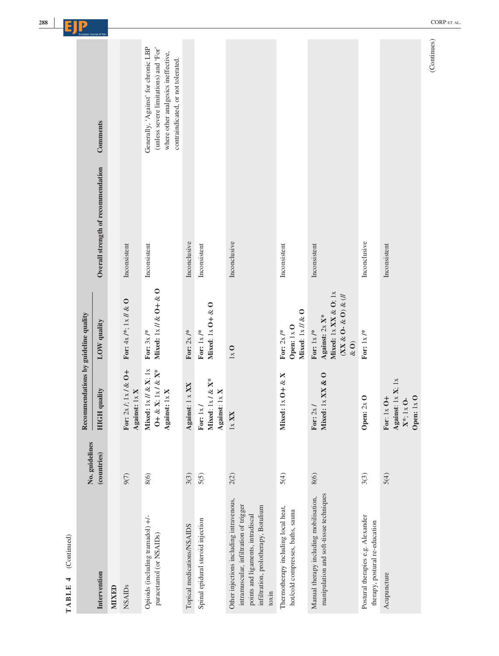|                                                                                                                                                                         | No. guidelines | Recommendations by guideline quality                                                                                            |                                                                                                                             |                                    | European Journal of Pa                                                                                                                                     |
|-------------------------------------------------------------------------------------------------------------------------------------------------------------------------|----------------|---------------------------------------------------------------------------------------------------------------------------------|-----------------------------------------------------------------------------------------------------------------------------|------------------------------------|------------------------------------------------------------------------------------------------------------------------------------------------------------|
| Intervention                                                                                                                                                            | (countries)    | quality<br>HIGH                                                                                                                 | LOW quality                                                                                                                 | Overall strength of recommendation | Comments                                                                                                                                                   |
| MIXED                                                                                                                                                                   |                |                                                                                                                                 |                                                                                                                             |                                    |                                                                                                                                                            |
| <b>NSAIDs</b>                                                                                                                                                           | 9(7)           | $1.1 \times 100 +$<br>Against: 1x X<br>For: 2x                                                                                  | For: $4x$ /*; $1x$ // & O                                                                                                   | Inconsistent                       |                                                                                                                                                            |
| Opioids (including tramadol) +/-<br>paracetamol (or NSAIDs)                                                                                                             | 8(6)           | Mixed: $1\times \mathcal{U}\ \&\ X;$ $1\times$<br>$\mathbf{X};$ $1\mathrm{x}$ / $\&$ $\mathbf{X}^*$<br>Against: 1x X<br>$0 + 8$ | Mixed: $1 \times \frac{1}{2}$ & O + & O<br>For: $3x$ /*                                                                     | Inconsistent                       | Generally, 'Against' for chronic LBP<br>(unless severe limitations) and 'For'<br>where other analgesics ineffective,<br>contraindicated, or not tolerated. |
| Topical medications/NSAIDS                                                                                                                                              | 3(3)           | Against: 1 x XX                                                                                                                 | For: $2x$ /*                                                                                                                | Inconclusive                       |                                                                                                                                                            |
| Spinal epidural steroid injection                                                                                                                                       | 5(5)           | $1\times$ / & X*<br>Against: 1x X<br>For: 1x<br>Mixed:                                                                          | Mixed: $1x0+x0$<br>For: $1x$ /*                                                                                             | Inconsistent                       |                                                                                                                                                            |
| Other injections including intravenous,<br>intramuscular, infiltration of trigger<br>infiltration, prolotherapy, Botulium<br>points and ligaments, intradiscal<br>toxin | 2(2)           | $1\times$ XX                                                                                                                    | $1x$ O                                                                                                                      | Inconclusive                       |                                                                                                                                                            |
| Thermotherapy including local heat,<br>hot/cold compresses, baths, sauna                                                                                                | 5(4)           | $1 \times 0 + \& X$<br>Mixed:                                                                                                   | Mixed: $1 \times \textit{//} \& O$<br>Open: 1x O<br>For: $2x$ /*                                                            | Inconsistent                       |                                                                                                                                                            |
| manipulation and soft-tissue techniques<br>Manual therapy including mobilisation,                                                                                       | 8(6)           | $1 \times$ XX & O<br>For: $2x$<br>Mixed:                                                                                        | Mixed: $1 \times$ XX & O; $1 \times$<br>$(XX \& O- \& O) \& \langle / \rangle$<br>Against: 2x X*<br>For: $1x$ /*<br>$\&$ O) | Inconsistent                       |                                                                                                                                                            |
| Postural therapies e.g. Alexander<br>therapy, postural re-education                                                                                                     | 3(3)           | Open: $2x$ O                                                                                                                    | For: $1 \times /$ *                                                                                                         | Inconclusive                       |                                                                                                                                                            |
| Acupuncture                                                                                                                                                             | 5(4)           | Against: $1 \times X$ ; $1 \times$<br>For: 1x O+<br>$1x$ O<br>$X^*$ ; 1x O-<br>Open: 1                                          |                                                                                                                             | Inconsistent                       |                                                                                                                                                            |

TABLE 4 (Continued) **TABLE 4** (Continued)  $(Continuous)$ (Continues)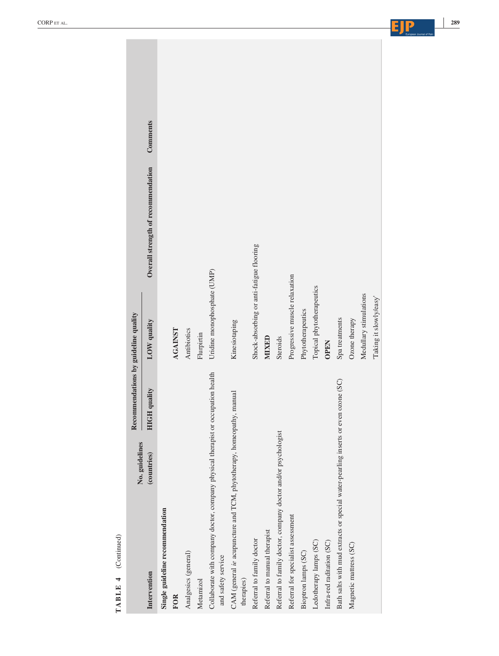| TABLE 4 (Continued)                                                                                    |                |                                      |                                          |                                    |          |
|--------------------------------------------------------------------------------------------------------|----------------|--------------------------------------|------------------------------------------|------------------------------------|----------|
|                                                                                                        | No. guidelines | Recommendations by guideline quality |                                          |                                    |          |
| Intervention                                                                                           | (countries)    | quality<br><b>HIGH</b>               | LOW quality                              | Overall strength of recommendation | Comments |
| Single guideline recommendation                                                                        |                |                                      |                                          |                                    |          |
| <b>FOR</b>                                                                                             |                |                                      | <b>AGAINST</b>                           |                                    |          |
| Analgesics (general)                                                                                   |                |                                      | Antibiotics                              |                                    |          |
| Metamizol                                                                                              |                |                                      | Flurpirtin                               |                                    |          |
| Collaborate with company doctor, company physical therapist or occupation health<br>and safety service |                |                                      | Uridine monophosphate (UMP)              |                                    |          |
| CAM (general ie acupuncture and TCM, phytotherapy, homeopathy, manual<br>therapies)                    |                |                                      | Kinesiotaping                            |                                    |          |
| Referral to family doctor                                                                              |                |                                      | Shock-absorbing or anti-fatigue flooring |                                    |          |
| Referral to manual therapist                                                                           |                |                                      | <b>MIXED</b>                             |                                    |          |
| Referral to family doctor, company doctor and/or psychologist                                          |                |                                      | Steroids                                 |                                    |          |
| Referral for specialist assessment                                                                     |                |                                      | Progressive muscle relaxation            |                                    |          |
| Bioptron lamps (SC)                                                                                    |                |                                      | Phytotherapeutics                        |                                    |          |
| Ledotherapy lamps (SC)                                                                                 |                |                                      | Topical phytotherapeutics                |                                    |          |
| Infra-red raditation (SC)                                                                              |                |                                      | <b>OPEN</b>                              |                                    |          |
| Bath salts with mud extracts or special water-pearling inserts or even ozone (SC)                      |                |                                      | Spa treatments                           |                                    |          |
| Magnetic mattress (SC)                                                                                 |                |                                      | Ozone therapy                            |                                    |          |
|                                                                                                        |                |                                      | Medullary stimulations                   |                                    |          |
|                                                                                                        |                |                                      | 'Taking it slowly/easy'                  |                                    |          |
|                                                                                                        |                |                                      |                                          |                                    |          |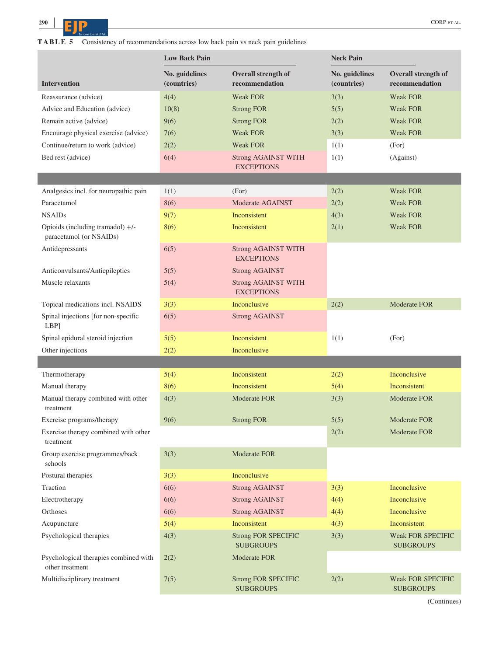**<sup>290</sup> <sup>|</sup> CORPETAL.** CORPETAL.

**TABLE 5** Consistency of recommendations across low back pain vs neck pain guidelines

|                                                             | <b>Low Back Pain</b>          |                                                 | <b>Neck Pain</b>              |                                              |
|-------------------------------------------------------------|-------------------------------|-------------------------------------------------|-------------------------------|----------------------------------------------|
| <b>Intervention</b>                                         | No. guidelines<br>(countries) | Overall strength of<br>recommendation           | No. guidelines<br>(countries) | Overall strength of<br>recommendation        |
| Reassurance (advice)                                        | 4(4)                          | <b>Weak FOR</b>                                 | 3(3)                          | <b>Weak FOR</b>                              |
| Advice and Education (advice)                               | 10(8)                         | <b>Strong FOR</b>                               | 5(5)                          | <b>Weak FOR</b>                              |
| Remain active (advice)                                      | 9(6)                          | <b>Strong FOR</b>                               | 2(2)                          | <b>Weak FOR</b>                              |
| Encourage physical exercise (advice)                        | 7(6)                          | <b>Weak FOR</b>                                 | 3(3)                          | Weak FOR                                     |
| Continue/return to work (advice)                            | 2(2)                          | <b>Weak FOR</b>                                 | 1(1)                          | (For)                                        |
| Bed rest (advice)                                           | 6(4)                          | <b>Strong AGAINST WITH</b><br><b>EXCEPTIONS</b> | 1(1)                          | (Against)                                    |
|                                                             |                               |                                                 |                               |                                              |
| Analgesics incl. for neuropathic pain                       | 1(1)                          | (For)                                           | 2(2)                          | <b>Weak FOR</b>                              |
| Paracetamol                                                 | 8(6)                          | Moderate AGAINST                                | 2(2)                          | <b>Weak FOR</b>                              |
| <b>NSAIDs</b>                                               | 9(7)                          | Inconsistent                                    | 4(3)                          | <b>Weak FOR</b>                              |
| Opioids (including tramadol) +/-<br>paracetamol (or NSAIDs) | 8(6)                          | Inconsistent                                    | 2(1)                          | <b>Weak FOR</b>                              |
| Antidepressants                                             | 6(5)                          | <b>Strong AGAINST WITH</b><br><b>EXCEPTIONS</b> |                               |                                              |
| Anticonvulsants/Antiepileptics                              | 5(5)                          | <b>Strong AGAINST</b>                           |                               |                                              |
| Muscle relaxants                                            | 5(4)                          | <b>Strong AGAINST WITH</b><br><b>EXCEPTIONS</b> |                               |                                              |
| Topical medications incl. NSAIDS                            | 3(3)                          | Inconclusive                                    | 2(2)                          | Moderate FOR                                 |
| Spinal injections [for non-specific<br>LBP]                 | 6(5)                          | <b>Strong AGAINST</b>                           |                               |                                              |
| Spinal epidural steroid injection                           | 5(5)                          | Inconsistent                                    | 1(1)                          | (For)                                        |
| Other injections                                            | 2(2)                          | Inconclusive                                    |                               |                                              |
|                                                             |                               |                                                 |                               |                                              |
| Thermotherapy                                               | 5(4)                          | Inconsistent                                    | 2(2)                          | Inconclusive                                 |
| Manual therapy                                              | 8(6)                          | Inconsistent                                    | 5(4)                          | Inconsistent                                 |
| Manual therapy combined with other<br>treatment             | 4(3)                          | <b>Moderate FOR</b>                             | 3(3)                          | Moderate FOR                                 |
| Exercise programs/therapy                                   | 9(6)                          | <b>Strong FOR</b>                               | 5(5)                          | Moderate FOR                                 |
| Exercise therapy combined with other<br>treatment           |                               |                                                 | 2(2)                          | Moderate FOR                                 |
| Group exercise programmes/back<br>schools                   | 3(3)                          | Moderate FOR                                    |                               |                                              |
| Postural therapies                                          | 3(3)                          | Inconclusive                                    |                               |                                              |
| Traction                                                    | 6(6)                          | <b>Strong AGAINST</b>                           | 3(3)                          | Inconclusive                                 |
| Electrotherapy                                              | 6(6)                          | <b>Strong AGAINST</b>                           | 4(4)                          | Inconclusive                                 |
| Orthoses                                                    | 6(6)                          | <b>Strong AGAINST</b>                           | 4(4)                          | Inconclusive                                 |
| Acupuncture                                                 | 5(4)                          | Inconsistent                                    | 4(3)                          | Inconsistent                                 |
| Psychological therapies                                     | 4(3)                          | <b>Strong FOR SPECIFIC</b><br><b>SUBGROUPS</b>  | 3(3)                          | <b>Weak FOR SPECIFIC</b><br><b>SUBGROUPS</b> |
| Psychological therapies combined with<br>other treatment    | 2(2)                          | Moderate FOR                                    |                               |                                              |
| Multidisciplinary treatment                                 | 7(5)                          | <b>Strong FOR SPECIFIC</b><br><b>SUBGROUPS</b>  | 2(2)                          | <b>Weak FOR SPECIFIC</b><br><b>SUBGROUPS</b> |

(Continues)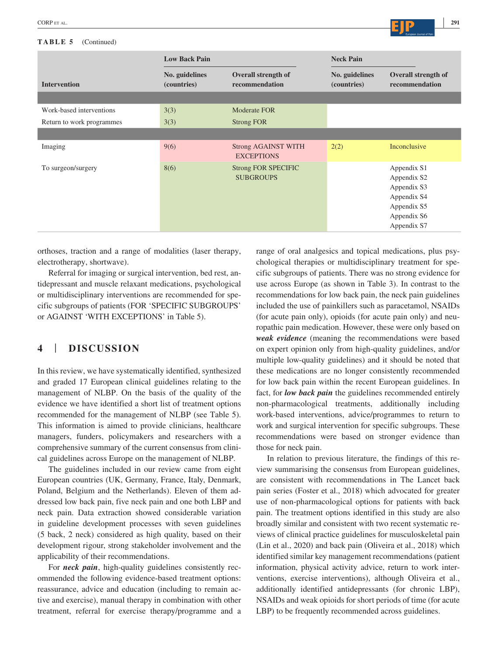#### **TABLE 5** (Continued)

|                           | <b>Low Back Pain</b>          |                                                 | <b>Neck Pain</b>              |                                                                                                       |
|---------------------------|-------------------------------|-------------------------------------------------|-------------------------------|-------------------------------------------------------------------------------------------------------|
| <b>Intervention</b>       | No. guidelines<br>(countries) | <b>Overall strength of</b><br>recommendation    | No. guidelines<br>(countries) | <b>Overall strength of</b><br>recommendation                                                          |
|                           |                               |                                                 |                               |                                                                                                       |
| Work-based interventions  | 3(3)                          | Moderate FOR                                    |                               |                                                                                                       |
| Return to work programmes | 3(3)                          | <b>Strong FOR</b>                               |                               |                                                                                                       |
|                           |                               |                                                 |                               |                                                                                                       |
| Imaging                   | 9(6)                          | <b>Strong AGAINST WITH</b><br><b>EXCEPTIONS</b> | 2(2)                          | Inconclusive                                                                                          |
| To surgeon/surgery        | 8(6)                          | <b>Strong FOR SPECIFIC</b><br><b>SUBGROUPS</b>  |                               | Appendix S1<br>Appendix S2<br>Appendix S3<br>Appendix S4<br>Appendix S5<br>Appendix S6<br>Appendix S7 |

orthoses, traction and a range of modalities (laser therapy, electrotherapy, shortwave).

Referral for imaging or surgical intervention, bed rest, antidepressant and muscle relaxant medications, psychological or multidisciplinary interventions are recommended for specific subgroups of patients (FOR 'SPECIFIC SUBGROUPS' or AGAINST 'WITH EXCEPTIONS' in Table 5).

## **4** | **DISCUSSION**

In this review, we have systematically identified, synthesized and graded 17 European clinical guidelines relating to the management of NLBP. On the basis of the quality of the evidence we have identified a short list of treatment options recommended for the management of NLBP (see Table 5). This information is aimed to provide clinicians, healthcare managers, funders, policymakers and researchers with a comprehensive summary of the current consensus from clinical guidelines across Europe on the management of NLBP.

The guidelines included in our review came from eight European countries (UK, Germany, France, Italy, Denmark, Poland, Belgium and the Netherlands). Eleven of them addressed low back pain, five neck pain and one both LBP and neck pain. Data extraction showed considerable variation in guideline development processes with seven guidelines (5 back, 2 neck) considered as high quality, based on their development rigour, strong stakeholder involvement and the applicability of their recommendations.

For *neck pain*, high-quality guidelines consistently recommended the following evidence-based treatment options: reassurance, advice and education (including to remain active and exercise), manual therapy in combination with other treatment, referral for exercise therapy/programme and a range of oral analgesics and topical medications, plus psychological therapies or multidisciplinary treatment for specific subgroups of patients. There was no strong evidence for use across Europe (as shown in Table 3). In contrast to the recommendations for low back pain, the neck pain guidelines included the use of painkillers such as paracetamol, NSAIDs (for acute pain only), opioids (for acute pain only) and neuropathic pain medication. However, these were only based on *weak evidence* (meaning the recommendations were based on expert opinion only from high-quality guidelines, and/or multiple low-quality guidelines) and it should be noted that these medications are no longer consistently recommended for low back pain within the recent European guidelines. In fact, for *low back pain* the guidelines recommended entirely non-pharmacological treatments, additionally including work-based interventions, advice/programmes to return to work and surgical intervention for specific subgroups. These recommendations were based on stronger evidence than those for neck pain.

In relation to previous literature, the findings of this review summarising the consensus from European guidelines, are consistent with recommendations in The Lancet back pain series (Foster et al., 2018) which advocated for greater use of non-pharmacological options for patients with back pain. The treatment options identified in this study are also broadly similar and consistent with two recent systematic reviews of clinical practice guidelines for musculoskeletal pain (Lin et al., 2020) and back pain (Oliveira et al., 2018) which identified similar key management recommendations (patient information, physical activity advice, return to work interventions, exercise interventions), although Oliveira et al., additionally identified antidepressants (for chronic LBP), NSAIDs and weak opioids for short periods of time (for acute LBP) to be frequently recommended across guidelines.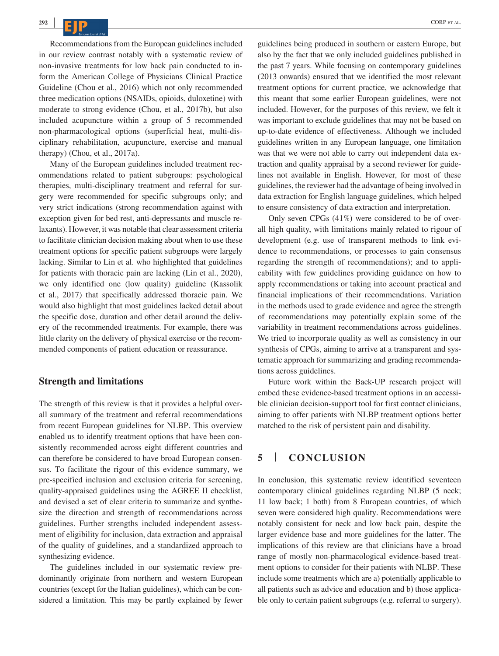Recommendations from the European guidelines included in our review contrast notably with a systematic review of non-invasive treatments for low back pain conducted to inform the American College of Physicians Clinical Practice Guideline (Chou et al., 2016) which not only recommended three medication options (NSAIDs, opioids, duloxetine) with moderate to strong evidence (Chou, et al., 2017b), but also included acupuncture within a group of 5 recommended non-pharmacological options (superficial heat, multi-disciplinary rehabilitation, acupuncture, exercise and manual therapy) (Chou, et al., 2017a).

Many of the European guidelines included treatment recommendations related to patient subgroups: psychological therapies, multi-disciplinary treatment and referral for surgery were recommended for specific subgroups only; and very strict indications (strong recommendation against with exception given for bed rest, anti-depressants and muscle relaxants). However, it was notable that clear assessment criteria to facilitate clinician decision making about when to use these treatment options for specific patient subgroups were largely lacking. Similar to Lin et al. who highlighted that guidelines for patients with thoracic pain are lacking (Lin et al., 2020), we only identified one (low quality) guideline (Kassolik et al., 2017) that specifically addressed thoracic pain. We would also highlight that most guidelines lacked detail about the specific dose, duration and other detail around the delivery of the recommended treatments. For example, there was little clarity on the delivery of physical exercise or the recommended components of patient education or reassurance.

#### **Strength and limitations**

The strength of this review is that it provides a helpful overall summary of the treatment and referral recommendations from recent European guidelines for NLBP. This overview enabled us to identify treatment options that have been consistently recommended across eight different countries and can therefore be considered to have broad European consensus. To facilitate the rigour of this evidence summary, we pre-specified inclusion and exclusion criteria for screening, quality-appraised guidelines using the AGREE II checklist, and devised a set of clear criteria to summarize and synthesize the direction and strength of recommendations across guidelines. Further strengths included independent assessment of eligibility for inclusion, data extraction and appraisal of the quality of guidelines, and a standardized approach to synthesizing evidence.

The guidelines included in our systematic review predominantly originate from northern and western European countries (except for the Italian guidelines), which can be considered a limitation. This may be partly explained by fewer guidelines being produced in southern or eastern Europe, but also by the fact that we only included guidelines published in the past 7 years. While focusing on contemporary guidelines (2013 onwards) ensured that we identified the most relevant treatment options for current practice, we acknowledge that this meant that some earlier European guidelines, were not included. However, for the purposes of this review, we felt it was important to exclude guidelines that may not be based on up-to-date evidence of effectiveness. Although we included guidelines written in any European language, one limitation was that we were not able to carry out independent data extraction and quality appraisal by a second reviewer for guidelines not available in English. However, for most of these guidelines, the reviewer had the advantage of being involved in data extraction for English language guidelines, which helped to ensure consistency of data extraction and interpretation.

Only seven CPGs (41%) were considered to be of overall high quality, with limitations mainly related to rigour of development (e.g. use of transparent methods to link evidence to recommendations, or processes to gain consensus regarding the strength of recommendations); and to applicability with few guidelines providing guidance on how to apply recommendations or taking into account practical and financial implications of their recommendations. Variation in the methods used to grade evidence and agree the strength of recommendations may potentially explain some of the variability in treatment recommendations across guidelines. We tried to incorporate quality as well as consistency in our synthesis of CPGs, aiming to arrive at a transparent and systematic approach for summarizing and grading recommendations across guidelines.

Future work within the Back-UP research project will embed these evidence-based treatment options in an accessible clinician decision-support tool for first contact clinicians, aiming to offer patients with NLBP treatment options better matched to the risk of persistent pain and disability.

### **5** | **CONCLUSION**

In conclusion, this systematic review identified seventeen contemporary clinical guidelines regarding NLBP (5 neck; 11 low back; 1 both) from 8 European countries, of which seven were considered high quality. Recommendations were notably consistent for neck and low back pain, despite the larger evidence base and more guidelines for the latter. The implications of this review are that clinicians have a broad range of mostly non-pharmacological evidence-based treatment options to consider for their patients with NLBP. These include some treatments which are a) potentially applicable to all patients such as advice and education and b) those applicable only to certain patient subgroups (e.g. referral to surgery).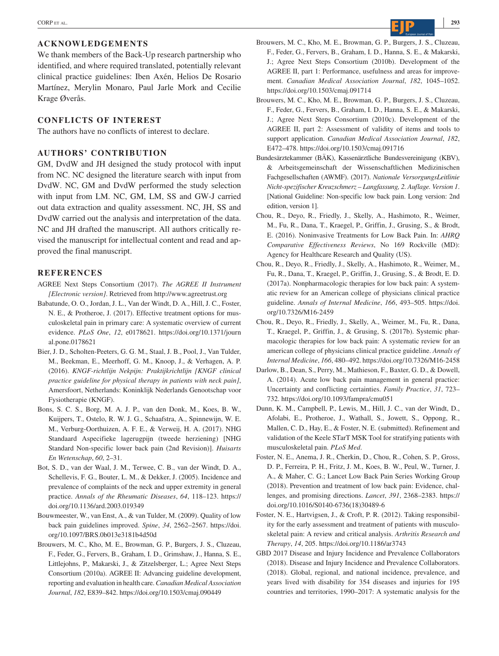#### **ACKNOWLEDGEMENTS**

We thank members of the Back-Up research partnership who identified, and where required translated, potentially relevant clinical practice guidelines: Iben Axén, Helios De Rosario Martínez, Merylin Monaro, Paul Jarle Mork and Cecilie Krage Øverås.

#### **CONFLICTS OF INTEREST**

The authors have no conflicts of interest to declare.

#### **AUTHORS' CONTRIBUTION**

GM, DvdW and JH designed the study protocol with input from NC. NC designed the literature search with input from DvdW. NC, GM and DvdW performed the study selection with input from LM. NC, GM, LM, SS and GW-J carried out data extraction and quality assessment. NC, JH, SS and DvdW carried out the analysis and interpretation of the data. NC and JH drafted the manuscript. All authors critically revised the manuscript for intellectual content and read and approved the final manuscript.

#### **REFERENCES**

- AGREE Next Steps Consortium (2017). *The AGREE II Instrument [Electronic version]*. Retrieved from<http://www.agreetrust.org>
- Babatunde, O. O., Jordan, J. L., Van der Windt, D. A., Hill, J. C., Foster, N. E., & Protheroe, J. (2017). Effective treatment options for musculoskeletal pain in primary care: A systematic overview of current evidence. *PLoS One*, *12*, e0178621. [https://doi.org/10.1371/journ](https://doi.org/10.1371/journal.pone.0178621) [al.pone.0178621](https://doi.org/10.1371/journal.pone.0178621)
- Bier, J. D., Scholten-Peeters, G. G. M., Staal, J. B., Pool, J., Van Tulder, M., Beekman, E., Meerhoff, G. M., Knoop, J., & Verhagen, A. P. (2016). *KNGF-richtlijn Nekpijn: Praktijkrichtlijn [KNGF clinical practice guideline for physical therapy in patients with neck pain]*, Amersfoort, Netherlands: Koninklijk Nederlands Genootschap voor Fysiotherapie (KNGF).
- Bons, S. C. S., Borg, M. A. J. P., van den Donk, M., Koes, B. W., Kuijpers, T., Ostelo, R. W. J. G., Schaafstra, A., Spinnewijn, W. E. M., Verburg-Oorthuizen, A. F. E., & Verweij, H. A. (2017). NHG Standaard Aspecifieke lagerugpijn (tweede herziening) [NHG Standard Non-specific lower back pain (2nd Revision)]. *Huisarts En Wetenschap*, *60*, 2–31.
- Bot, S. D., van der Waal, J. M., Terwee, C. B., van der Windt, D. A., Schellevis, F. G., Bouter, L. M., & Dekker, J. (2005). Incidence and prevalence of complaints of the neck and upper extremity in general practice. *Annals of the Rheumatic Diseases*, *64*, 118–123. [https://](https://doi.org/10.1136/ard.2003.019349) [doi.org/10.1136/ard.2003.019349](https://doi.org/10.1136/ard.2003.019349)
- Bouwmeester, W., van Enst, A., & van Tulder, M. (2009). Quality of low back pain guidelines improved. *Spine*, *34*, 2562–2567. [https://doi.](https://doi.org/10.1097/BRS.0b013e3181b4d50d) [org/10.1097/BRS.0b013e3181b4d50d](https://doi.org/10.1097/BRS.0b013e3181b4d50d)
- Brouwers, M. C., Kho, M. E., Browman, G. P., Burgers, J. S., Cluzeau, F., Feder, G., Fervers, B., Graham, I. D., Grimshaw, J., Hanna, S. E., Littlejohns, P., Makarski, J., & Zitzelsberger, L.; Agree Next Steps Consortium (2010a). AGREE II: Advancing guideline development, reporting and evaluation in health care. *Canadian Medical Association Journal*, *182*, E839–842. <https://doi.org/10.1503/cmaj.090449>
- Brouwers, M. C., Kho, M. E., Browman, G. P., Burgers, J. S., Cluzeau, F., Feder, G., Fervers, B., Graham, I. D., Hanna, S. E., & Makarski, J.; Agree Next Steps Consortium (2010b). Development of the AGREE II, part 1: Performance, usefulness and areas for improvement. *Canadian Medical Association Journal*, *182*, 1045–1052. <https://doi.org/10.1503/cmaj.091714>
- Brouwers, M. C., Kho, M. E., Browman, G. P., Burgers, J. S., Cluzeau, F., Feder, G., Fervers, B., Graham, I. D., Hanna, S. E., & Makarski, J.; Agree Next Steps Consortium (2010c). Development of the AGREE II, part 2: Assessment of validity of items and tools to support application. *Canadian Medical Association Journal*, *182*, E472–478. <https://doi.org/10.1503/cmaj.091716>
- Bundesärztekammer (BÄK), Kassenärztliche Bundesvereinigung (KBV), & Arbeitsgemeinschaft der Wissenschaftlichen Medizinischen Fachgesellschaften (AWMF). (2017). *Nationale VersorgungsLeitlinie Nicht-spezifischer Kreuzschmerz – Langfassung, 2. Auflage. Version 1*. [National Guideline: Non-specific low back pain. Long version: 2nd edition, version 1].
- Chou, R., Deyo, R., Friedly, J., Skelly, A., Hashimoto, R., Weimer, M., Fu, R., Dana, T., Kraegel, P., Griffin, J., Grusing, S., & Brodt, E. (2016). Noninvasive Treatments for Low Back Pain. In: *AHRQ Comparative Effectiveness Reviews*, No 169 Rockville (MD): Agency for Healthcare Research and Quality (US).
- Chou, R., Deyo, R., Friedly, J., Skelly, A., Hashimoto, R., Weimer, M., Fu, R., Dana, T., Kraegel, P., Griffin, J., Grusing, S., & Brodt, E. D. (2017a). Nonpharmacologic therapies for low back pain: A systematic review for an American college of physicians clinical practice guideline. *Annals of Internal Medicine*, *166*, 493–505. [https://doi.](https://doi.org/10.7326/M16-2459) [org/10.7326/M16-2459](https://doi.org/10.7326/M16-2459)
- Chou, R., Deyo, R., Friedly, J., Skelly, A., Weimer, M., Fu, R., Dana, T., Kraegel, P., Griffin, J., & Grusing, S. (2017b). Systemic pharmacologic therapies for low back pain: A systematic review for an american college of physicians clinical practice guideline. *Annals of Internal Medicine*, *166*, 480–492.<https://doi.org/10.7326/M16-2458>
- Darlow, B., Dean, S., Perry, M., Mathieson, F., Baxter, G. D., & Dowell, A. (2014). Acute low back pain management in general practice: Uncertainty and conflicting certainties. *Family Practice*, *31*, 723– 732. <https://doi.org/10.1093/fampra/cmu051>
- Dunn, K. M., Campbell, P., Lewis, M., Hill, J. C., van der Windt, D., Afolabi, E., Protheroe, J., Wathall, S., Jowett, S., Oppong, R., Mallen, C. D., Hay, E., & Foster, N. E. (submitted). Refinement and validation of the Keele STarT MSK Tool for stratifying patients with musculoskeletal pain. *PLoS Med*.
- Foster, N. E., Anema, J. R., Cherkin, D., Chou, R., Cohen, S. P., Gross, D. P., Ferreira, P. H., Fritz, J. M., Koes, B. W., Peul, W., Turner, J. A., & Maher, C. G.; Lancet Low Back Pain Series Working Group (2018). Prevention and treatment of low back pain: Evidence, challenges, and promising directions. *Lancet*, *391*, 2368–2383. [https://](https://doi.org/10.1016/S0140-6736(18)30489-6) [doi.org/10.1016/S0140-6736\(18\)30489-6](https://doi.org/10.1016/S0140-6736(18)30489-6)
- Foster, N. E., Hartvigsen, J., & Croft, P. R. (2012). Taking responsibility for the early assessment and treatment of patients with musculoskeletal pain: A review and critical analysis. *Arthritis Research and Therapy*, *14*, 205. <https://doi.org/10.1186/ar3743>
- GBD 2017 Disease and Injury Incidence and Prevalence Collaborators (2018). Disease and Injury Incidence and Prevalence Collaborators. (2018). Global, regional, and national incidence, prevalence, and years lived with disability for 354 diseases and injuries for 195 countries and territories, 1990–2017: A systematic analysis for the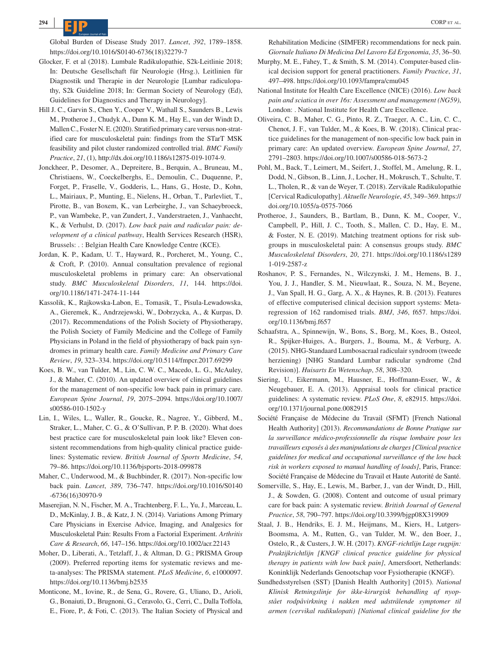- Glocker, F. et al (2018). Lumbale Radikulopathie, S2k-Leitlinie 2018; In: Deutsche Gesellschaft für Neurologie (Hrsg.), Leitlinien für Diagnostik und Therapie in der Neurologie [Lumbar radiculopathy, S2k Guideline 2018; In: German Society of Neurology (Ed), Guidelines for Diagnostics and Therapy in Neurology].
- Hill J. C., Garvin S., Chen Y., Cooper V., Wathall S., Saunders B., Lewis M., Protheroe J., Chudyk A., Dunn K. M., Hay E., van der Windt D., Mallen C., Foster N. E. (2020). Stratified primary care versus non-stratified care for musculoskeletal pain: findings from the STarT MSK feasibility and pilot cluster randomized controlled trial. *BMC Family Practice*, *21*, (1),<http://dx.doi.org/10.1186/s12875-019-1074-9>.
- Jonckheer, P., Desomer, A., Depreitere, B., Berquin, A., Bruneau, M., Christiaens, W., Coeckelberghs, E., Demoulin, C., Duquenne, P., Forget, P., Fraselle, V., Godderis, L., Hans, G., Hoste, D., Kohn, L., Mairiaux, P., Munting, E., Nielens, H., Orban, T., Parlevliet, T., Pirotte, B., van Boxem, K., van Lerbeirghe, J., van Schaeybroeck, P., van Wambeke, P., van Zundert, J., Vanderstraeten, J., Vanhaecht, K., & Verhulst, D. (2017). *Low back pain and radicular pain: development of a clinical pathway*, Health Services Research (HSR), Brussels: . : Belgian Health Care Knowledge Centre (KCE).
- Jordan, K. P., Kadam, U. T., Hayward, R., Porcheret, M., Young, C., & Croft, P. (2010). Annual consultation prevalence of regional musculoskeletal problems in primary care: An observational study. *BMC Musculoskeletal Disorders*, *11*, 144. [https://doi.](https://doi.org/10.1186/1471-2474-11-144) [org/10.1186/1471-2474-11-144](https://doi.org/10.1186/1471-2474-11-144)
- Kassolik, K., Rajkowska-Labon, E., Tomasik, T., Pisula-Lewadowska, A., Gieremek, K., Andrzejewski, W., Dobrzycka, A., & Kurpas, D. (2017). Recommendations of the Polish Society of Physiotherapy, the Polish Society of Family Medicine and the College of Family Physicians in Poland in the field of physiotherapy of back pain syndromes in primary health care. *Family Medicine and Primary Care Review*, *19*, 323–334. <https://doi.org/10.5114/fmpcr.2017.69299>
- Koes, B. W., van Tulder, M., Lin, C. W. C., Macedo, L. G., McAuley, J., & Maher, C. (2010). An updated overview of clinical guidelines for the management of non-specific low back pain in primary care. *European Spine Journal*, *19*, 2075–2094. [https://doi.org/10.1007/](https://doi.org/10.1007/s00586-010-1502-y) [s00586-010-1502-y](https://doi.org/10.1007/s00586-010-1502-y)
- Lin, I., Wiles, L., Waller, R., Goucke, R., Nagree, Y., Gibberd, M., Straker, L., Maher, C. G., & O'Sullivan, P. P. B. (2020). What does best practice care for musculoskeletal pain look like? Eleven consistent recommendations from high-quality clinical practice guidelines: Systematic review. *British Journal of Sports Medicine*, *54*, 79–86. <https://doi.org/10.1136/bjsports-2018-099878>
- Maher, C., Underwood, M., & Buchbinder, R. (2017). Non-specific low back pain. *Lancet*, *389*, 736–747. [https://doi.org/10.1016/S0140](https://doi.org/10.1016/S0140-6736(16)30970-9) [-6736\(16\)30970-9](https://doi.org/10.1016/S0140-6736(16)30970-9)
- Maserejian, N. N., Fischer, M. A., Trachtenberg, F. L., Yu, J., Marceau, L. D., McKinlay, J. B., & Katz, J. N. (2014). Variations Among Primary Care Physicians in Exercise Advice, Imaging, and Analgesics for Musculoskeletal Pain: Results From a Factorial Experiment. *Arthritis Care & Research*, *66*, 147–156.<https://doi.org/10.1002/acr.22143>
- Moher, D., Liberati, A., Tetzlaff, J., & Altman, D. G.; PRISMA Group (2009). Preferred reporting items for systematic reviews and meta-analyses: The PRISMA statement. *PLoS Medicine*, *6*, e1000097. <https://doi.org/10.1136/bmj.b2535>
- Monticone, M., Iovine, R., de Sena, G., Rovere, G., Uliano, D., Arioli, G., Bonaiuti, D., Brugnoni, G., Ceravolo, G., Cerri, C., Dalla Toffola, E., Fiore, P., & Foti, C. (2013). The Italian Society of Physical and

Rehabilitation Medicine (SIMFER) recommendations for neck pain. *Giornale Italiano Di Medicina Del Lavoro Ed Ergonomia*, *35*, 36–50.

- Murphy, M. E., Fahey, T., & Smith, S. M. (2014). Computer-based clinical decision support for general practitioners. *Family Practice*, *31*, 497–498. <https://doi.org/10.1093/fampra/cmu045>
- National Institute for Health Care Excellence (NICE) (2016). *Low back pain and sciatica in over 16s: Assessment and management (NG59)*, London: . National Institute for Health Care Excellence.
- Oliveira, C. B., Maher, C. G., Pinto, R. Z., Traeger, A. C., Lin, C. C., Chenot, J. F., van Tulder, M., & Koes, B. W. (2018). Clinical practice guidelines for the management of non-specific low back pain in primary care: An updated overview. *European Spine Journal*, *27*, 2791–2803.<https://doi.org/10.1007/s00586-018-5673-2>
- Pohl, M., Back, T., Leimert, M., Seifert, J., Stoffel, M., Amelung, R. I., Dodd, N., Gibson, B., Linn, J., Locher, H., Mokrusch, T., Schulte, T. L., Tholen, R., & van de Weyer, T. (2018). Zervikale Radikulopathie [Cervical Radiculopathy]. *Aktuelle Neurologie*, *45*, 349–369. [https://](https://doi.org/10.1055/a-0575-7066) [doi.org/10.1055/a-0575-7066](https://doi.org/10.1055/a-0575-7066)
- Protheroe, J., Saunders, B., Bartlam, B., Dunn, K. M., Cooper, V., Campbell, P., Hill, J. C., Tooth, S., Mallen, C. D., Hay, E. M., & Foster, N. E. (2019). Matching treatment options for risk subgroups in musculoskeletal pain: A consensus groups study. *BMC Musculoskeletal Disorders*, *20*, 271. [https://doi.org/10.1186/s1289](https://doi.org/10.1186/s12891-019-2587-z) [1-019-2587-z](https://doi.org/10.1186/s12891-019-2587-z)
- Roshanov, P. S., Fernandes, N., Wilczynski, J. M., Hemens, B. J., You, J. J., Handler, S. M., Nieuwlaat, R., Souza, N. M., Beyene, J., Van Spall, H. G., Garg, A. X., & Haynes, R. B. (2013). Features of effective computerised clinical decision support systems: Metaregression of 162 randomised trials. *BMJ*, *346*, f657. [https://doi.](https://doi.org/10.1136/bmj.f657) [org/10.1136/bmj.f657](https://doi.org/10.1136/bmj.f657)
- Schaafstra, A., Spinnewijn, W., Bons, S., Borg, M., Koes, B., Osteol, R., Spijker-Huiges, A., Burgers, J., Bouma, M., & Verburg, A. (2015). NHG-Standaard Lumbosacraal radiculair syndroom (tweede herziening) [NHG Standard Lumbar radicular syndrome (2nd Revision)]. *Huisarts En Wetenschap*, *58*, 308–320.
- Siering, U., Eikermann, M., Hausner, E., Hoffmann-Esser, W., & Neugebauer, E. A. (2013). Appraisal tools for clinical practice guidelines: A systematic review. *PLoS One*, *8*, e82915. [https://doi.](https://doi.org/10.1371/journal.pone.0082915) [org/10.1371/journal.pone.0082915](https://doi.org/10.1371/journal.pone.0082915)
- Société Française de Médecine du Travail (SFMT) [French National Health Authority] (2013). *Recommandations de Bonne Pratique sur la surveillance médico-professionnelle du risque lombaire pour les travailleurs exposés à des manipulations de charges [Clinical practice guidelines for medical and occupational surveillance of the low back risk in workers exposed to manual handling of loads]*, Paris, France: Société Française de Médecine du Travail et Haute Autorité de Santé.
- Somerville, S., Hay, E., Lewis, M., Barber, J., van der Windt, D., Hill, J., & Sowden, G. (2008). Content and outcome of usual primary care for back pain: A systematic review. *British Journal of General Practice*, *58*, 790–797.<https://doi.org/10.3399/bjgp08X319909>
- Staal, J. B., Hendriks, E. J. M., Heijmans, M., Kiers, H., Lutgers-Boomsma, A. M., Rutten, G., van Tulder, M. W., den Boer, J., Ostelo, R., & Custers, J. W. H. (2017). *KNGF-richtlijn Lage rugpijn: Praktijkrichtlijn [KNGF clinical practice guideline for physical therapy in patients with low back pain]*, Amersfoort, Netherlands: Koninklijk Nederlands Genootschap voor Fysiotherapie (KNGF).
- Sundhedsstyrelsen (SST) [Danish Health Authority] (2015). *National Klinisk Retningslinje for ikke-kirurgisk behandling af nyopstået rodpåvirkning i nakken med udstrålende symptomer til armen (cervikal radikulopati) [National clinical guideline for the*